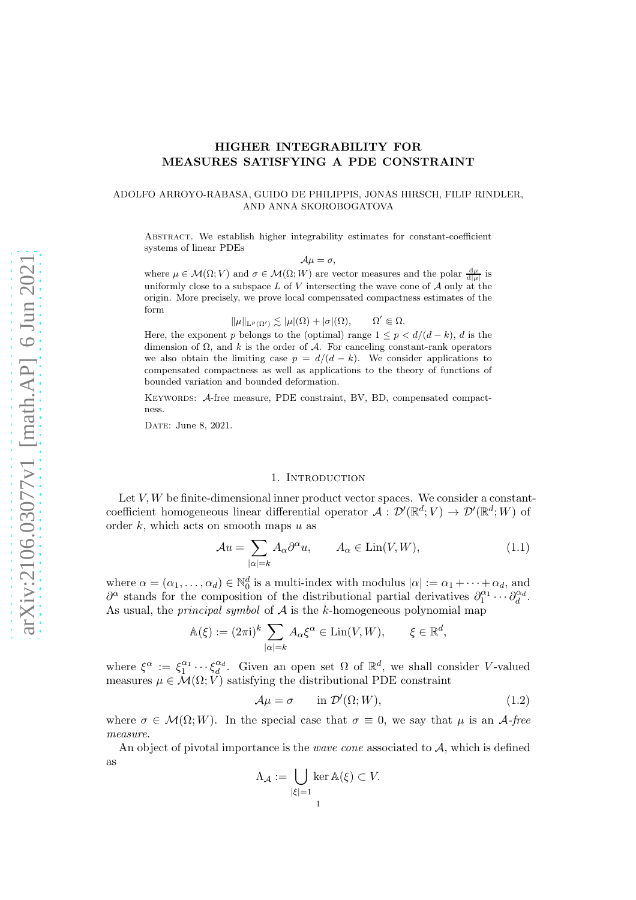# HIGHER INTEGRABILITY FOR MEASURES SATISFYING A PDE CONSTRAINT

# ADOLFO ARROYO-RABASA, GUIDO DE PHILIPPIS, JONAS HIRSCH, FILIP RINDLER, AND ANNA SKOROBOGATOVA

Abstract. We establish higher integrability estimates for constant-coefficient systems of linear PDEs

$$
\mathcal{A}\mu=\sigma,
$$

where  $\mu \in \mathcal{M}(\Omega; V)$  and  $\sigma \in \mathcal{M}(\Omega; W)$  are vector measures and the polar  $\frac{d\mu}{d|\mu|}$  is uniformly close to a subspace  $L$  of  $V$  intersecting the wave cone of  $A$  only at the origin. More precisely, we prove local compensated compactness estimates of the form

> $\|\mu\|_{\mathrm{L}^p(\Omega')} \lesssim |\mu|(\Omega) + |\sigma|(\Omega),$  $\Omega' \in \Omega$ .

Here, the exponent p belongs to the (optimal) range  $1 \leq p \leq d/(d-k)$ , d is the dimension of  $\Omega$ , and k is the order of A. For canceling constant-rank operators we also obtain the limiting case  $p = d/(d - k)$ . We consider applications to compensated compactness as well as applications to the theory of functions of bounded variation and bounded deformation.

KEYWORDS:  $A$ -free measure, PDE constraint, BV, BD, compensated compactness.

DATE: June 8, 2021.

### 1. INTRODUCTION

Let  $V, W$  be finite-dimensional inner product vector spaces. We consider a constantcoefficient homogeneous linear differential operator  $\mathcal{A}: \mathcal{D}'(\mathbb{R}^d; V) \to \mathcal{D}'(\mathbb{R}^d; W)$  of order  $k$ , which acts on smooth maps  $u$  as

<span id="page-0-1"></span>
$$
\mathcal{A}u = \sum_{|\alpha|=k} A_{\alpha} \partial^{\alpha} u, \qquad A_{\alpha} \in \text{Lin}(V, W), \tag{1.1}
$$

where  $\alpha = (\alpha_1, \dots, \alpha_d) \in \mathbb{N}_0^d$  is a multi-index with modulus  $|\alpha| := \alpha_1 + \dots + \alpha_d$ , and  $\partial^{\alpha}$  stands for the composition of the distributional partial derivatives  $\partial_1^{\alpha_1} \cdots \partial_d^{\alpha_d}$ . As usual, the *principal symbol* of  $A$  is the  $k$ -homogeneous polynomial map

$$
\mathbb{A}(\xi) := (2\pi \mathbf{i})^k \sum_{|\alpha|=k} A_{\alpha} \xi^{\alpha} \in \text{Lin}(V, W), \qquad \xi \in \mathbb{R}^d,
$$

where  $\xi^{\alpha} := \xi_1^{\alpha_1} \cdots \xi_d^{\alpha_d}$ . Given an open set  $\Omega$  of  $\mathbb{R}^d$ , we shall consider V-valued measures  $\mu \in \mathcal{M}(\Omega; V)$  satisfying the distributional PDE constraint

<span id="page-0-0"></span>
$$
\mathcal{A}\mu = \sigma \qquad \text{in } \mathcal{D}'(\Omega; W), \tag{1.2}
$$

where  $\sigma \in \mathcal{M}(\Omega; W)$ . In the special case that  $\sigma \equiv 0$ , we say that  $\mu$  is an A-free measure.

An object of pivotal importance is the *wave cone* associated to  $A$ , which is defined as

$$
\Lambda_{\mathcal{A}} := \bigcup_{|\xi|=1} \ker \mathbb{A}(\xi) \subset V.
$$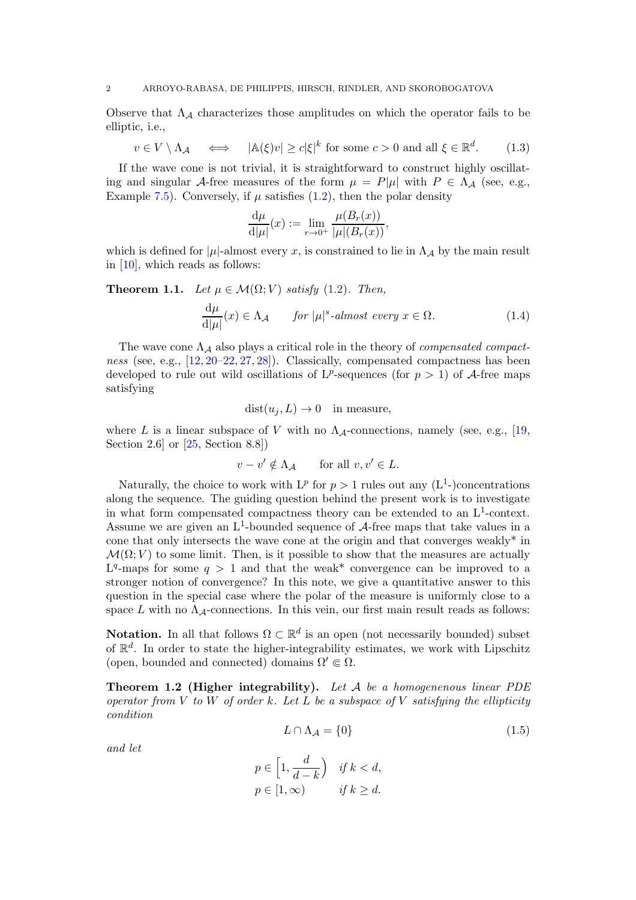Observe that  $\Lambda_{\mathcal{A}}$  characterizes those amplitudes on which the operator fails to be elliptic, i.e.,

$$
v \in V \setminus \Lambda_{\mathcal{A}} \quad \iff \quad |\mathbb{A}(\xi)v| \ge c|\xi|^k \text{ for some } c > 0 \text{ and all } \xi \in \mathbb{R}^d. \tag{1.3}
$$

If the wave cone is not trivial, it is straightforward to construct highly oscillating and singular A-free measures of the form  $\mu = P|\mu|$  with  $P \in \Lambda_A$  (see, e.g., Example [7.5\)](#page-23-0). Conversely, if  $\mu$  satisfies [\(1.2\)](#page-0-0), then the polar density

$$
\frac{d\mu}{d|\mu|}(x) := \lim_{r \to 0^+} \frac{\mu(B_r(x))}{|\mu|(B_r(x))},
$$

which is defined for  $|\mu|$ -almost every x, is constrained to lie in  $\Lambda_A$  by the main result in [\[10\]](#page-23-1), which reads as follows:

<span id="page-1-2"></span>**Theorem 1.1.** Let  $\mu \in \mathcal{M}(\Omega; V)$  satisfy [\(1.2\)](#page-0-0). Then,

$$
\frac{d\mu}{d|\mu|}(x) \in \Lambda_{\mathcal{A}} \qquad \text{for } |\mu|^s \text{-almost every } x \in \Omega. \tag{1.4}
$$

The wave cone  $\Lambda_{\mathcal{A}}$  also plays a critical role in the theory of *compensated compact*ness (see, e.g., [\[12,](#page-23-2) [20](#page-24-0)[–22,](#page-24-1) [27,](#page-24-2) [28\]](#page-24-3)). Classically, compensated compactness has been developed to rule out wild oscillations of  $L^p$ -sequences (for  $p > 1$ ) of A-free maps satisfying

$$
dist(u_j, L) \to 0
$$
 in measure,

where L is a linear subspace of V with no  $\Lambda_{\mathcal{A}}$ -connections, namely (see, e.g., [\[19,](#page-24-4) Section 2.6 or  $[25, \text{Section } 8.8]$ 

 $v - v' \notin \Lambda_{\mathcal{A}}$  for all  $v, v' \in L$ .

Naturally, the choice to work with  $L^p$  for  $p > 1$  rules out any  $(L^1)$ -concentrations along the sequence. The guiding question behind the present work is to investigate in what form compensated compactness theory can be extended to an  $L^1$ -context. Assume we are given an  $L^1$ -bounded sequence of  $A$ -free maps that take values in a cone that only intersects the wave cone at the origin and that converges weakly\* in  $\mathcal{M}(\Omega; V)$  to some limit. Then, is it possible to show that the measures are actually  $L^q$ -maps for some  $q > 1$  and that the weak\* convergence can be improved to a stronger notion of convergence? In this note, we give a quantitative answer to this question in the special case where the polar of the measure is uniformly close to a space L with no  $\Lambda_A$ -connections. In this vein, our first main result reads as follows:

**Notation.** In all that follows  $\Omega \subset \mathbb{R}^d$  is an open (not necessarily bounded) subset of  $\mathbb{R}^d$ . In order to state the higher-integrability estimates, we work with Lipschitz (open, bounded and connected) domains  $\Omega' \in \Omega$ .

<span id="page-1-0"></span>**Theorem 1.2 (Higher integrability).** Let  $A$  be a homogenenous linear PDE operator from V to W of order k. Let L be a subspace of V satisfying the ellipticity condition

<span id="page-1-1"></span>
$$
L \cap \Lambda_{\mathcal{A}} = \{0\} \tag{1.5}
$$

and let

$$
p \in \left[1, \frac{d}{d-k}\right) \quad \text{if } k < d,
$$
\n
$$
p \in \left[1, \infty\right) \qquad \text{if } k \ge d.
$$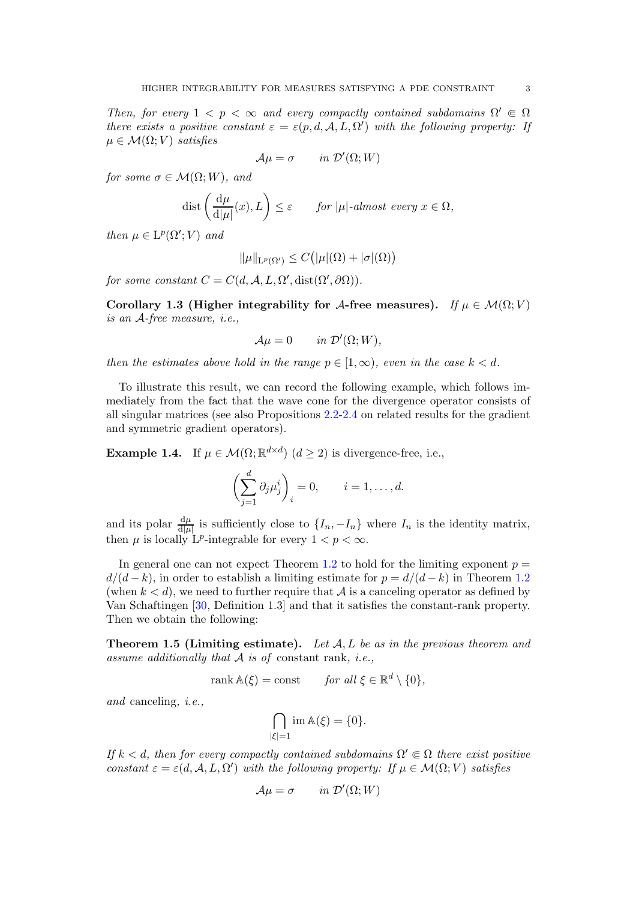Then, for every  $1 \leq p \leq \infty$  and every compactly contained subdomains  $\Omega' \in \Omega$ there exists a positive constant  $\varepsilon = \varepsilon(p, d, \mathcal{A}, L, \Omega')$  with the following property: If  $\mu \in \mathcal{M}(\Omega; V)$  satisfies

$$
\mathcal{A}\mu = \sigma \qquad in \ \mathcal{D}'(\Omega;W)
$$

for some  $\sigma \in \mathcal{M}(\Omega; W)$ , and

$$
\text{dist}\left(\frac{d\mu}{d|\mu|}(x), L\right) \le \varepsilon \qquad \text{for } |\mu| \text{-almost every } x \in \Omega,
$$

then  $\mu \in \mathrm{L}^p(\Omega';V)$  and

$$
\|\mu\|_{{\rm L}^p(\Omega')}\leq C\big(|\mu|(\Omega)+|\sigma|(\Omega)\big)
$$

for some constant  $C = C(d, \mathcal{A}, L, \Omega', \text{dist}(\Omega', \partial \Omega)).$ 

<span id="page-2-2"></span>Corollary 1.3 (Higher integrability for A-free measures). If  $\mu \in \mathcal{M}(\Omega; V)$ is an A-free measure, i.e.,

$$
\mathcal{A}\mu=0\qquad in\ \mathcal{D}'(\Omega;W),
$$

then the estimates above hold in the range  $p \in [1,\infty)$ , even in the case  $k < d$ .

To illustrate this result, we can record the following example, which follows immediately from the fact that the wave cone for the divergence operator consists of all singular matrices (see also Propositions [2.2-](#page-7-0)[2.4](#page-7-1) on related results for the gradient and symmetric gradient operators).

<span id="page-2-1"></span>**Example 1.4.** If  $\mu \in \mathcal{M}(\Omega; \mathbb{R}^{d \times d})$   $(d \geq 2)$  is divergence-free, i.e.,

$$
\left(\sum_{j=1}^d \partial_j \mu_j^i\right)_i = 0, \qquad i = 1, \dots, d.
$$

and its polar  $\frac{d\mu}{d|\mu|}$  is sufficiently close to  $\{I_n, -I_n\}$  where  $I_n$  is the identity matrix, then  $\mu$  is locally  $L^p$ -integrable for every  $1 < p < \infty$ .

In general one can not expect Theorem [1.2](#page-1-0) to hold for the limiting exponent  $p =$  $d/(d-k)$ , in order to establish a limiting estimate for  $p = d/(d-k)$  in Theorem [1.2](#page-1-0) (when  $k < d$ ), we need to further require that A is a canceling operator as defined by Van Schaftingen [\[30,](#page-24-6) Definition 1.3] and that it satisfies the constant-rank property. Then we obtain the following:

<span id="page-2-0"></span>**Theorem 1.5 (Limiting estimate).** Let  $A, L$  be as in the previous theorem and assume additionally that  $A$  is of constant rank, *i.e.*,

$$
rank \mathbb{A}(\xi) = const \quad for \ all \ \xi \in \mathbb{R}^d \setminus \{0\},
$$

and canceling, i.e.,

$$
\bigcap_{|\xi|=1} \operatorname{im} \mathbb{A}(\xi) = \{0\}.
$$

If  $k < d$ , then for every compactly contained subdomains  $\Omega' \subseteq \Omega$  there exist positive constant  $\varepsilon = \varepsilon(d, \mathcal{A}, L, \Omega')$  with the following property: If  $\mu \in \mathcal{M}(\Omega; V)$  satisfies

$$
\mathcal{A}\mu = \sigma \qquad in \ \mathcal{D}'(\Omega; W)
$$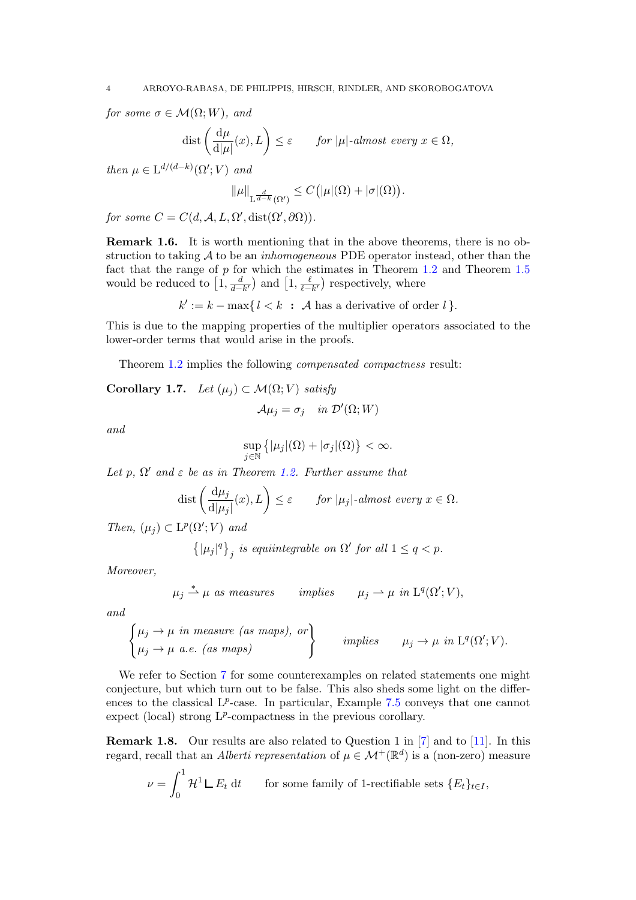for some  $\sigma \in \mathcal{M}(\Omega;W)$ , and

$$
\text{dist}\left(\frac{d\mu}{d|\mu|}(x), L\right) \le \varepsilon \qquad \text{for } |\mu| \text{-almost every } x \in \Omega,
$$

then  $\mu \in L^{d/(d-k)}(\Omega';V)$  and

$$
\|\mu\|_{L^{\frac{d}{d-k}}(\Omega')}\leq C\big(|\mu|(\Omega)+|\sigma|(\Omega)\big).
$$

for some  $C = C(d, \mathcal{A}, L, \Omega', \text{dist}(\Omega', \partial \Omega)).$ 

Remark 1.6. It is worth mentioning that in the above theorems, there is no obstruction to taking  $A$  to be an *inhomogeneous* PDE operator instead, other than the fact that the range of p for which the estimates in Theorem [1.2](#page-1-0) and Theorem [1.5](#page-2-0) would be reduced to  $\left[1, \frac{d}{d-1}\right]$  $\frac{d}{d-k'}$ ) and  $\left[1, \frac{\ell}{\ell-1}\right]$  $\frac{\ell}{\ell - k'}$ ) respectively, where

$$
k':=k-\max\{\,l
$$

This is due to the mapping properties of the multiplier operators associated to the lower-order terms that would arise in the proofs.

Theorem [1.2](#page-1-0) implies the following *compensated compactness* result:

<span id="page-3-0"></span>Corollary 1.7. Let  $(\mu_j) \subset \mathcal{M}(\Omega; V)$  satisfy

$$
\mathcal{A}\mu_j = \sigma_j \quad in \ \mathcal{D}'(\Omega;W)
$$

and

$$
\sup_{j\in\mathbb{N}}\left\{|\mu_j|(\Omega)+|\sigma_j|(\Omega)\right\}<\infty.
$$

Let p,  $\Omega'$  and  $\varepsilon$  be as in Theorem [1.2.](#page-1-0) Further assume that

$$
\text{dist}\left(\frac{d\mu_j}{d|\mu_j|}(x), L\right) \le \varepsilon \qquad \text{for } |\mu_j| \text{-almost every } x \in \Omega.
$$

Then,  $(\mu_j) \subset L^p(\Omega';V)$  and

$$
\left\{|\mu_j|^q\right\}_j \text{ is equi integrable on } \Omega' \text{ for all } 1 \le q < p.
$$

Moreover,

$$
\mu_j \stackrel{*}{\rightharpoonup} \mu \text{ as measures} \qquad \text{implies} \qquad \mu_j \rightharpoonup \mu \text{ in } L^q(\Omega'; V),
$$

and

$$
\begin{cases} \mu_j \to \mu \text{ in measure (as maps), or} \\ \mu_j \to \mu \text{ a.e. (as maps)} \end{cases} \text{ implies } \mu_j \to \mu \text{ in } L^q(\Omega'; V).
$$

We refer to Section [7](#page-20-0) for some counterexamples on related statements one might conjecture, but which turn out to be false. This also sheds some light on the differences to the classical  $L^p$ -case. In particular, Example [7.5](#page-23-0) conveys that one cannot expect (local) strong  $L^p$ -compactness in the previous corollary.

Remark 1.8. Our results are also related to Question 1 in [\[7\]](#page-23-3) and to [\[11\]](#page-23-4). In this regard, recall that an *Alberti representation* of  $\mu \in \mathcal{M}^+(\mathbb{R}^d)$  is a (non-zero) measure

$$
\nu = \int_0^1 \mathcal{H}^1 \mathcal{L} E_t \, dt \qquad \text{for some family of 1-rectifiable sets } \{E_t\}_{t \in I},
$$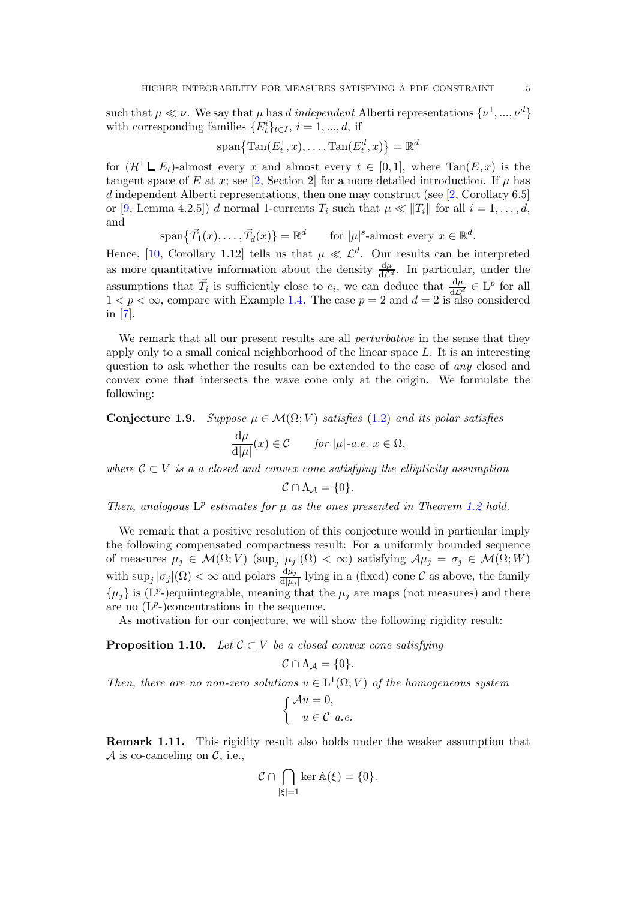such that  $\mu \ll \nu$ . We say that  $\mu$  has d independent Alberti representations  $\{\nu^1, ..., \nu^d\}$ with corresponding families  ${E_t^i}_{t \in I}$ ,  $i = 1, ..., d$ , if

$$
\mathrm{span}\big\{\mathrm{Tan}(E_t^1,x),\ldots,\mathrm{Tan}(E_t^d,x)\big\}=\mathbb{R}^d
$$

for  $(\mathcal{H}^1 \mathsf{L} E_t)$ -almost every x and almost every  $t \in [0,1]$ , where  $Tan(E, x)$  is the tangent space of E at x; see [\[2,](#page-23-5) Section 2] for a more detailed introduction. If  $\mu$  has d independent Alberti representations, then one may construct (see [\[2,](#page-23-5) Corollary 6.5] or [\[9,](#page-23-6) Lemma 4.2.5]) d normal 1-currents  $T_i$  such that  $\mu \ll ||T_i||$  for all  $i = 1, \ldots, d$ , and

$$
\text{span}\{\vec{T}_1(x),\ldots,\vec{T}_d(x)\} = \mathbb{R}^d \qquad \text{for } |\mu|^s\text{-almost every } x \in \mathbb{R}^d.
$$

Hence, [\[10,](#page-23-1) Corollary 1.12] tells us that  $\mu \ll \mathcal{L}^d$ . Our results can be interpreted as more quantitative information about the density  $\frac{d\mu}{d\mathcal{L}^d}$ . In particular, under the assumptions that  $\vec{T}_i$  is sufficiently close to  $e_i$ , we can deduce that  $\frac{d\mu}{d\mathcal{L}^d} \in L^p$  for all  $1 < p < \infty$ , compare with Example [1.4.](#page-2-1) The case  $p = 2$  and  $d = 2$  is also considered in [\[7\]](#page-23-3).

We remark that all our present results are all *perturbative* in the sense that they apply only to a small conical neighborhood of the linear space  $L$ . It is an interesting question to ask whether the results can be extended to the case of any closed and convex cone that intersects the wave cone only at the origin. We formulate the following:

Conjecture 1.9. Suppose  $\mu \in \mathcal{M}(\Omega; V)$  satisfies [\(1.2\)](#page-0-0) and its polar satisfies

$$
\frac{\mathrm{d}\mu}{\mathrm{d}|\mu|}(x) \in \mathcal{C} \qquad \text{for } |\mu| \text{-}a.e. \ x \in \Omega,
$$

where  $C \subset V$  is a a closed and convex cone satisfying the ellipticity assumption

 $\mathcal{C} \cap \Lambda_4 = \{0\}.$ 

Then, analogous  $L^p$  estimates for  $\mu$  as the ones presented in Theorem [1.2](#page-1-0) hold.

We remark that a positive resolution of this conjecture would in particular imply the following compensated compactness result: For a uniformly bounded sequence of measures  $\mu_j \in \mathcal{M}(\Omega; V)$  (sup<sub>j</sub>  $|\mu_j|(\Omega) < \infty$ ) satisfying  $\mathcal{A}\mu_j = \sigma_j \in \mathcal{M}(\Omega; W)$ with  $\sup_j |\sigma_j|(\Omega) < \infty$  and polars  $\frac{d\mu_j}{d|\mu_j|}$  lying in a (fixed) cone C as above, the family  $\{\mu_j\}$  is (L<sup>p</sup>-)equiintegrable, meaning that the  $\mu_j$  are maps (not measures) and there are no  $(L^p-)$ concentrations in the sequence.

As motivation for our conjecture, we will show the following rigidity result:

<span id="page-4-0"></span>**Proposition 1.10.** Let  $C \subset V$  be a closed convex cone satisfying

$$
\mathcal{C} \cap \Lambda_{\mathcal{A}} = \{0\}.
$$

Then, there are no non-zero solutions  $u \in L^1(\Omega; V)$  of the homogeneous system

$$
\begin{cases} \mathcal{A}u = 0, \\ u \in \mathcal{C} \ a.e. \end{cases}
$$

<span id="page-4-1"></span>Remark 1.11. This rigidity result also holds under the weaker assumption that  $\mathcal A$  is co-canceling on  $\mathcal C$ , i.e.,

$$
\mathcal{C}\cap\bigcap_{|\xi|=1}\ker\mathbb{A}(\xi)=\{0\}.
$$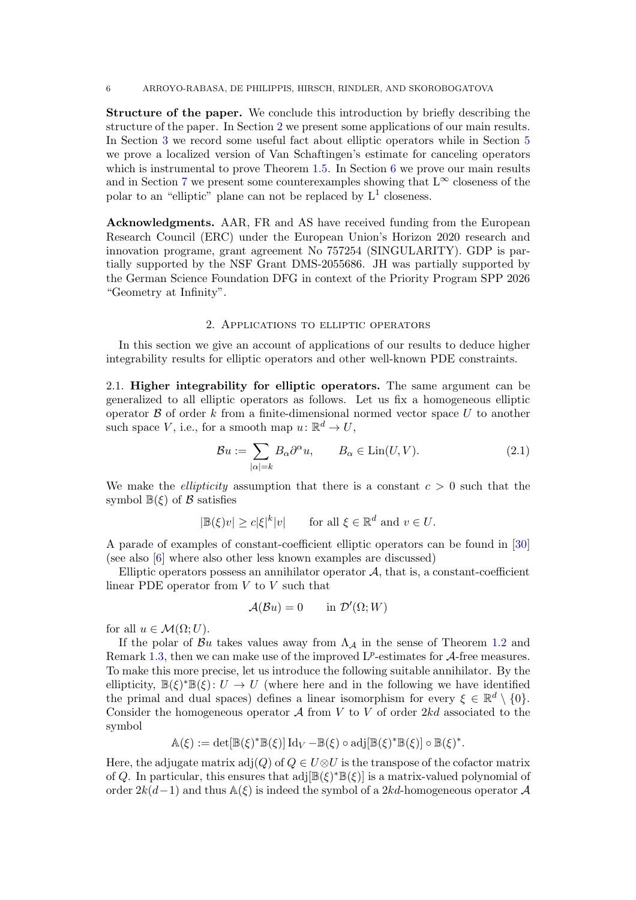Structure of the paper. We conclude this introduction by briefly describing the structure of the paper. In Section [2](#page-5-0) we present some applications of our main results. In Section [3](#page-8-0) we record some useful fact about elliptic operators while in Section [5](#page-11-0) we prove a localized version of Van Schaftingen's estimate for canceling operators which is instrumental to prove Theorem  $1.5$ . In Section [6](#page-15-0) we prove our main results and in Section [7](#page-20-0) we present some counterexamples showing that  $L^{\infty}$  closeness of the polar to an "elliptic" plane can not be replaced by  $L^1$  closeness.

Acknowledgments. AAR, FR and AS have received funding from the European Research Council (ERC) under the European Union's Horizon 2020 research and innovation programe, grant agreement No 757254 (SINGULARITY). GDP is partially supported by the NSF Grant DMS-2055686. JH was partially supported by the German Science Foundation DFG in context of the Priority Program SPP 2026 "Geometry at Infinity".

# 2. Applications to elliptic operators

<span id="page-5-0"></span>In this section we give an account of applications of our results to deduce higher integrability results for elliptic operators and other well-known PDE constraints.

2.1. Higher integrability for elliptic operators. The same argument can be generalized to all elliptic operators as follows. Let us fix a homogeneous elliptic operator  $\beta$  of order k from a finite-dimensional normed vector space U to another such space V, i.e., for a smooth map  $u: \mathbb{R}^d \to U$ ,

<span id="page-5-1"></span>
$$
\mathcal{B}u := \sum_{|\alpha|=k} B_{\alpha} \partial^{\alpha} u, \qquad B_{\alpha} \in \text{Lin}(U, V). \tag{2.1}
$$

We make the *ellipticity* assumption that there is a constant  $c > 0$  such that the symbol  $\mathbb{B}(\xi)$  of  $\beta$  satisfies

$$
|\mathbb{B}(\xi)v| \ge c|\xi|^k|v|
$$
 for all  $\xi \in \mathbb{R}^d$  and  $v \in U$ .

A parade of examples of constant-coefficient elliptic operators can be found in [\[30\]](#page-24-6) (see also [\[6\]](#page-23-7) where also other less known examples are discussed)

Elliptic operators possess an annihilator operator  $A$ , that is, a constant-coefficient linear PDE operator from V to V such that

$$
\mathcal{A}(\mathcal{B}u) = 0 \qquad \text{in } \mathcal{D}'(\Omega;W)
$$

for all  $u \in \mathcal{M}(\Omega; U)$ .

If the polar of  $\mathcal{B}u$  takes values away from  $\Lambda_{\mathcal{A}}$  in the sense of Theorem [1.2](#page-1-0) and Remark [1.3,](#page-2-2) then we can make use of the improved  $L^p$ -estimates for  $A$ -free measures. To make this more precise, let us introduce the following suitable annihilator. By the ellipticity,  $\mathbb{B}(\xi)^*\mathbb{B}(\xi): U \to U$  (where here and in the following we have identified the primal and dual spaces) defines a linear isomorphism for every  $\xi \in \mathbb{R}^d \setminus \{0\}.$ Consider the homogeneous operator  $A$  from V to V of order 2kd associated to the symbol

$$
\mathbb{A}(\xi) := \det[\mathbb{B}(\xi)^* \mathbb{B}(\xi)] \operatorname{Id}_V - \mathbb{B}(\xi) \circ \operatorname{adj}[\mathbb{B}(\xi)^* \mathbb{B}(\xi)] \circ \mathbb{B}(\xi)^*.
$$

Here, the adjugate matrix  $adj(Q)$  of  $Q \in U \otimes U$  is the transpose of the cofactor matrix of Q. In particular, this ensures that  $adj[\mathbb{B}(\xi)^* \mathbb{B}(\xi)]$  is a matrix-valued polynomial of order  $2k(d-1)$  and thus A( $\xi$ ) is indeed the symbol of a 2kd-homogeneous operator A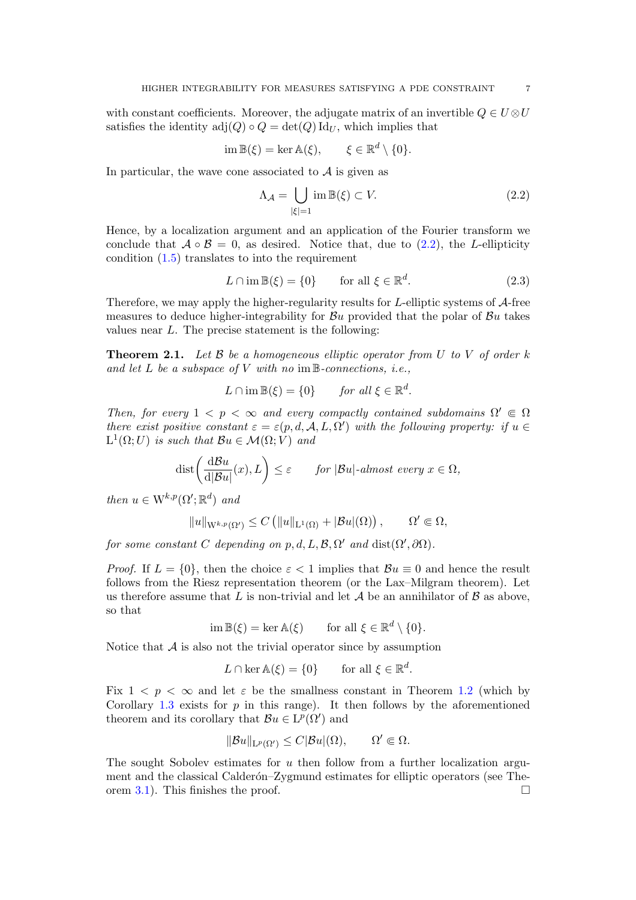with constant coefficients. Moreover, the adjugate matrix of an invertible  $Q \in U \otimes U$ satisfies the identity  $adj(Q) \circ Q = det(Q) \mathrm{Id}_U$ , which implies that

$$
\operatorname{im} \mathbb{B}(\xi) = \ker \mathbb{A}(\xi), \qquad \xi \in \mathbb{R}^d \setminus \{0\}.
$$

In particular, the wave cone associated to  $A$  is given as

<span id="page-6-0"></span>
$$
\Lambda_{\mathcal{A}} = \bigcup_{|\xi|=1} \text{im } \mathbb{B}(\xi) \subset V. \tag{2.2}
$$

Hence, by a localization argument and an application of the Fourier transform we conclude that  $A \circ B = 0$ , as desired. Notice that, due to  $(2.2)$ , the L-ellipticity condition  $(1.5)$  translates to into the requirement

$$
L \cap \text{im } \mathbb{B}(\xi) = \{0\} \qquad \text{for all } \xi \in \mathbb{R}^d. \tag{2.3}
$$

Therefore, we may apply the higher-regularity results for  $L$ -elliptic systems of  $A$ -free measures to deduce higher-integrability for  $\mathcal{B}u$  provided that the polar of  $\mathcal{B}u$  takes values near L. The precise statement is the following:

<span id="page-6-1"></span>**Theorem 2.1.** Let  $\beta$  be a homogeneous elliptic operator from U to V of order k and let  $L$  be a subspace of  $V$  with no im  $\mathbb{B}$ -connections, i.e.,

$$
L \cap \text{im } \mathbb{B}(\xi) = \{0\} \qquad \text{for all } \xi \in \mathbb{R}^d.
$$

Then, for every  $1 \leq p \leq \infty$  and every compactly contained subdomains  $\Omega' \subseteq \Omega$ there exist positive constant  $\varepsilon = \varepsilon(p, d, \mathcal{A}, L, \Omega')$  with the following property: if  $u \in$  $L^1(\Omega; U)$  is such that  $\mathcal{B}u \in \mathcal{M}(\Omega; V)$  and

$$
\text{dist}\bigg(\frac{\mathrm{d}\mathcal{B}u}{\mathrm{d}|\mathcal{B}u|}(x),L\bigg)\leq \varepsilon \qquad \text{for $|\mathcal{B}u|\text{-almost every } x\in \Omega$},
$$

then  $u \in W^{k,p}(\Omega';\mathbb{R}^d)$  and

$$
||u||_{\mathcal{W}^{k,p}(\Omega')}\leq C\left(||u||_{\mathcal{L}^1(\Omega)}+|\mathcal{B}u|(\Omega)\right),\qquad \Omega'\Subset\Omega,
$$

for some constant C depending on  $p, d, L, B, \Omega'$  and  $dist(\Omega', \partial \Omega)$ .

*Proof.* If  $L = \{0\}$ , then the choice  $\varepsilon < 1$  implies that  $Bu \equiv 0$  and hence the result follows from the Riesz representation theorem (or the Lax–Milgram theorem). Let us therefore assume that L is non-trivial and let  $A$  be an annihilator of  $B$  as above, so that

$$
\operatorname{im} \mathbb{B}(\xi) = \ker \mathbb{A}(\xi) \qquad \text{for all } \xi \in \mathbb{R}^d \setminus \{0\}.
$$

Notice that  $A$  is also not the trivial operator since by assumption

$$
L \cap \ker \mathbb{A}(\xi) = \{0\} \quad \text{for all } \xi \in \mathbb{R}^d.
$$

Fix  $1 \leq p \leq \infty$  and let  $\varepsilon$  be the smallness constant in Theorem [1.2](#page-1-0) (which by Corollary [1.3](#page-2-2) exists for  $p$  in this range). It then follows by the aforementioned theorem and its corollary that  $\mathcal{B}u \in L^p(\Omega')$  and

$$
\|\mathcal{B}u\|_{\mathrm{L}^p(\Omega')}\leq C|\mathcal{B}u|(\Omega),\qquad \Omega'\Subset\Omega.
$$

The sought Sobolev estimates for  $u$  then follow from a further localization argument and the classical Calderón–Zygmund estimates for elliptic operators (see The-orem [3.1\)](#page-8-1). This finishes the proof.  $\square$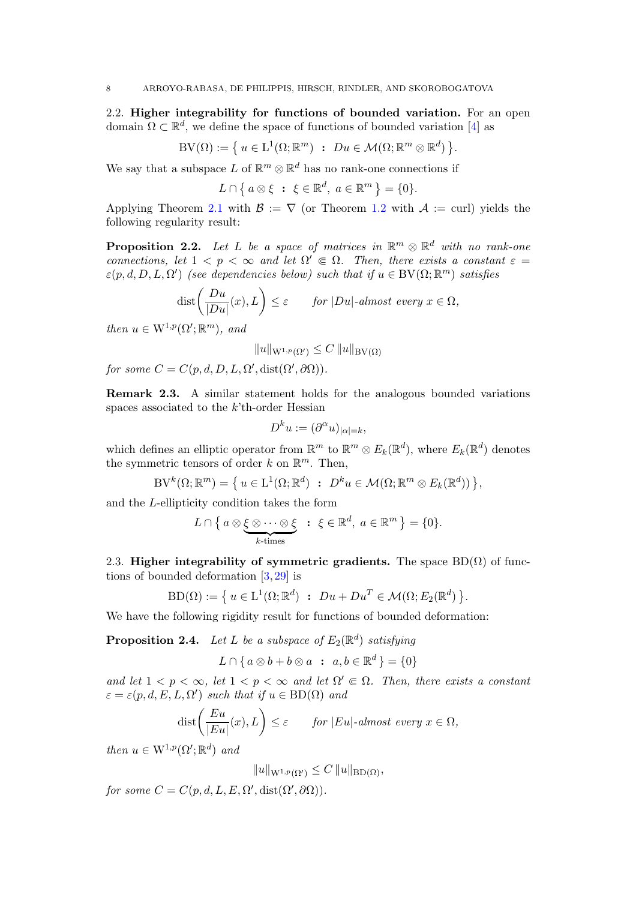2.2. Higher integrability for functions of bounded variation. For an open domain  $\Omega \subset \mathbb{R}^d$ , we define the space of functions of bounded variation [\[4\]](#page-23-8) as

$$
BV(\Omega) := \{ u \in L^1(\Omega; \mathbb{R}^m) : Du \in \mathcal{M}(\Omega; \mathbb{R}^m \otimes \mathbb{R}^d) \}.
$$

We say that a subspace L of  $\mathbb{R}^m \otimes \mathbb{R}^d$  has no rank-one connections if

$$
L \cap \{ a \otimes \xi \; : \; \xi \in \mathbb{R}^d, \; a \in \mathbb{R}^m \} = \{ 0 \}.
$$

Applying Theorem [2.1](#page-6-1) with  $\mathcal{B} := \nabla$  (or Theorem [1.2](#page-1-0) with  $\mathcal{A} := \text{curl}$ ) yields the following regularity result:

<span id="page-7-0"></span>**Proposition 2.2.** Let L be a space of matrices in  $\mathbb{R}^m \otimes \mathbb{R}^d$  with no rank-one connections, let  $1 < p < \infty$  and let  $\Omega' \in \Omega$ . Then, there exists a constant  $\varepsilon =$  $\varepsilon(p,d,D,L,\Omega')$  (see dependencies below) such that if  $u \in BV(\Omega;\mathbb{R}^m)$  satisfies

$$
\text{dist}\bigg(\frac{Du}{|Du|}(x),L\bigg) \le \varepsilon \qquad \text{for } |Du|\text{-almost every } x \in \Omega,
$$

then  $u \in W^{1,p}(\Omega'; \mathbb{R}^m)$ , and

$$
||u||_{\mathrm{W}^{1,p}(\Omega')} \leq C ||u||_{\mathrm{BV}(\Omega)}
$$

for some  $C = C(p, d, D, L, \Omega', \text{dist}(\Omega', \partial \Omega)).$ 

Remark 2.3. A similar statement holds for the analogous bounded variations spaces associated to the  $k^{\prime}$ th-order Hessian

$$
D^k u := (\partial^\alpha u)_{|\alpha|=k},
$$

which defines an elliptic operator from  $\mathbb{R}^m$  to  $\mathbb{R}^m \otimes E_k(\mathbb{R}^d)$ , where  $E_k(\mathbb{R}^d)$  denotes the symmetric tensors of order k on  $\mathbb{R}^m$ . Then,

$$
BV^k(\Omega; \mathbb{R}^m) = \{ u \in L^1(\Omega; \mathbb{R}^d) : D^k u \in \mathcal{M}(\Omega; \mathbb{R}^m \otimes E_k(\mathbb{R}^d)) \},
$$

and the L-ellipticity condition takes the form

$$
L \cap \left\{ a \otimes \underbrace{\xi \otimes \cdots \otimes \xi}_{k \text{-times}} \ : \ \xi \in \mathbb{R}^d, \ a \in \mathbb{R}^m \right\} = \{0\}.
$$

2.3. Higher integrability of symmetric gradients. The space  $BD(\Omega)$  of functions of bounded deformation [\[3,](#page-23-9) [29\]](#page-24-7) is

$$
BD(\Omega) := \left\{ u \in L^1(\Omega; \mathbb{R}^d) : Du + Du^T \in \mathcal{M}(\Omega; E_2(\mathbb{R}^d)) \right\}.
$$

We have the following rigidity result for functions of bounded deformation:

<span id="page-7-1"></span>**Proposition 2.4.** Let L be a subspace of  $E_2(\mathbb{R}^d)$  satisfying

$$
L \cap \{ a \otimes b + b \otimes a \; : \; a, b \in \mathbb{R}^d \} = \{ 0 \}
$$

and let  $1 < p < \infty$ , let  $1 < p < \infty$  and let  $\Omega' \subseteq \Omega$ . Then, there exists a constant  $\varepsilon = \varepsilon(p, d, E, L, \Omega')$  such that if  $u \in BD(\Omega)$  and

$$
\text{dist}\bigg(\frac{Eu}{|Eu|}(x), L\bigg) \le \varepsilon \qquad \text{for } |Eu| \text{-almost every } x \in \Omega,
$$

then  $u \in W^{1,p}(\Omega';\mathbb{R}^d)$  and

 $||u||_{W^{1,p}(\Omega')}\leq C ||u||_{\text{BD}(\Omega)},$ 

for some  $C = C(p, d, L, E, \Omega', \text{dist}(\Omega', \partial \Omega)).$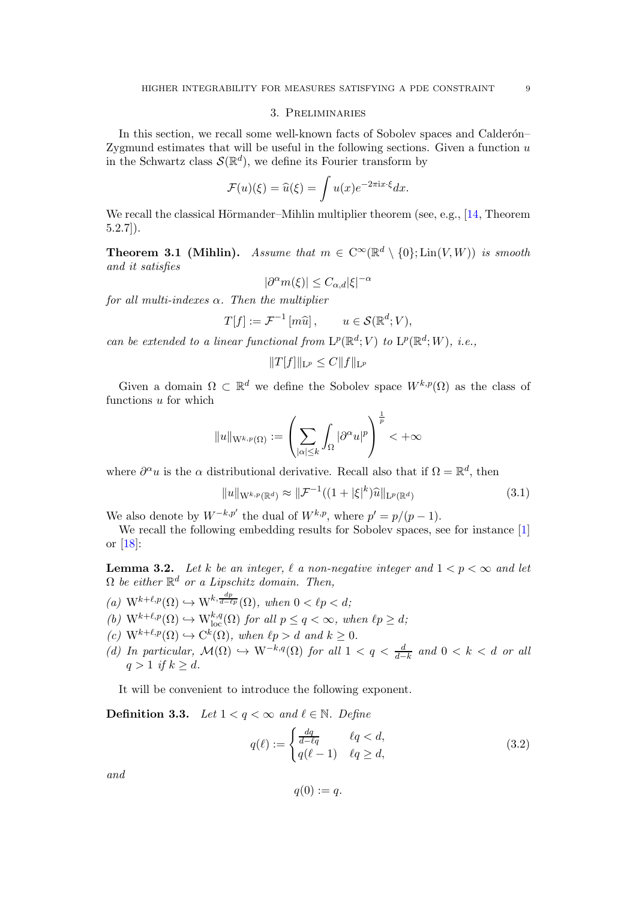## 3. Preliminaries

<span id="page-8-0"></span>In this section, we recall some well-known facts of Sobolev spaces and Calderón– Zygmund estimates that will be useful in the following sections. Given a function  $u$ in the Schwartz class  $\mathcal{S}(\mathbb{R}^d)$ , we define its Fourier transform by

$$
\mathcal{F}(u)(\xi) = \widehat{u}(\xi) = \int u(x)e^{-2\pi ix\cdot\xi}dx.
$$

We recall the classical Hörmander–Mihlin multiplier theorem (see, e.g.,  $[14,$  Theorem 5.2.7]).

<span id="page-8-1"></span>**Theorem 3.1 (Mihlin).** Assume that  $m \in C^{\infty}(\mathbb{R}^d \setminus \{0\}; \text{Lin}(V, W))$  is smooth and it satisfies

$$
|\partial^{\alpha}m(\xi)| \leq C_{\alpha,d}|\xi|^{-\alpha}
$$

for all multi-indexes  $\alpha$ . Then the multiplier

$$
T[f] := \mathcal{F}^{-1}[m\widehat{u}], \qquad u \in \mathcal{S}(\mathbb{R}^d; V),
$$

can be extended to a linear functional from  $L^p(\mathbb{R}^d; V)$  to  $L^p(\mathbb{R}^d; W)$ , i.e.,

$$
||T[f]||_{\mathcal{L}^p} \leq C||f||_{\mathcal{L}^p}
$$

Given a domain  $\Omega \subset \mathbb{R}^d$  we define the Sobolev space  $W^{k,p}(\Omega)$  as the class of functions u for which

$$
\|u\|_{\mathcal{W}^{k,p}(\Omega)}:=\left(\sum_{|\alpha|\leq k}\int_{\Omega}|\partial^{\alpha}u|^{p}\right)^{\frac{1}{p}}<+\infty
$$

where  $\partial^{\alpha}u$  is the  $\alpha$  distributional derivative. Recall also that if  $\Omega = \mathbb{R}^d$ , then

<span id="page-8-3"></span>
$$
||u||_{W^{k,p}(\mathbb{R}^d)} \approx ||\mathcal{F}^{-1}((1+|\xi|^k)\widehat{u}||_{L^p(\mathbb{R}^d)}
$$
\n(3.1)

We also denote by  $W^{-k,p'}$  the dual of  $W^{k,p}$ , where  $p' = p/(p-1)$ .

We recall the following embedding results for Sobolev spaces, see for instance [\[1\]](#page-23-10) or [\[18\]](#page-24-9):

<span id="page-8-2"></span>**Lemma 3.2.** Let k be an integer,  $\ell$  a non-negative integer and  $1 < p < \infty$  and let  $\Omega$  be either  $\mathbb{R}^d$  or a Lipschitz domain. Then,

- (a)  $\mathcal{W}^{k+\ell,p}(\Omega) \hookrightarrow \mathcal{W}^{k,\frac{dp}{d-\ell p}}(\Omega)$ , when  $0 < \ell p < d$ ;
- (b)  $W^{k+\ell,p}(\Omega) \hookrightarrow W^{k,q}_{loc}(\Omega)$  for all  $p \leq q < \infty$ , when  $\ell p \geq d$ ;
- (c)  $W^{k+\ell,p}(\Omega) \hookrightarrow C^k(\Omega)$ , when  $\ell p > d$  and  $k \geq 0$ .
- (d) In particular,  $\mathcal{M}(\Omega) \hookrightarrow W^{-k,q}(\Omega)$  for all  $1 < q < \frac{d}{d-k}$  and  $0 < k < d$  or all  $q > 1$  if  $k \geq d$ .

It will be convenient to introduce the following exponent.

<span id="page-8-4"></span>**Definition 3.3.** Let  $1 < q < \infty$  and  $\ell \in \mathbb{N}$ . Define

$$
q(\ell) := \begin{cases} \frac{dq}{d-\ell q} & \ell q < d, \\ q(\ell-1) & \ell q \ge d, \end{cases}
$$
 (3.2)

and

$$
q(0) := q.
$$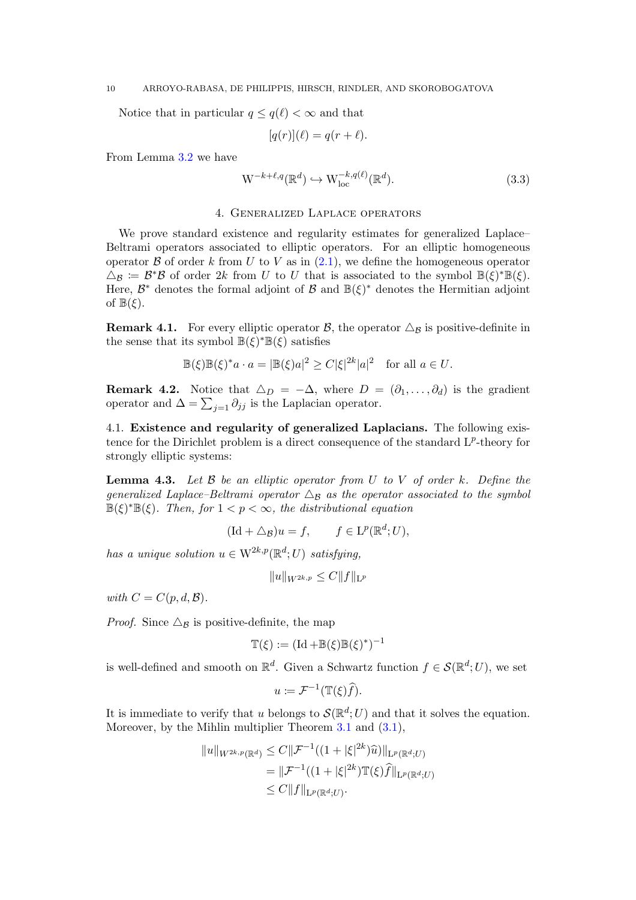#### 10 ARROYO-RABASA, DE PHILIPPIS, HIRSCH, RINDLER, AND SKOROBOGATOVA

Notice that in particular  $q \leq q(\ell) < \infty$  and that

$$
[q(r)](\ell) = q(r+\ell).
$$

From Lemma [3.2](#page-8-2) we have

<span id="page-9-0"></span>
$$
\mathcal{W}^{-k+\ell,q}(\mathbb{R}^d) \hookrightarrow \mathcal{W}_{\text{loc}}^{-k,q(\ell)}(\mathbb{R}^d). \tag{3.3}
$$

## 4. Generalized Laplace operators

We prove standard existence and regularity estimates for generalized Laplace– Beltrami operators associated to elliptic operators. For an elliptic homogeneous operator  $\beta$  of order k from U to V as in  $(2.1)$ , we define the homogeneous operator  $\Delta_{\mathcal{B}} := \mathcal{B}^* \mathcal{B}$  of order 2k from U to U that is associated to the symbol  $\mathbb{B}(\xi)^* \mathbb{B}(\xi)$ . Here,  $\mathcal{B}^*$  denotes the formal adjoint of  $\mathcal{B}$  and  $\mathbb{B}(\xi)^*$  denotes the Hermitian adjoint of  $\mathbb{B}(\xi)$ .

**Remark 4.1.** For every elliptic operator  $\mathcal{B}$ , the operator  $\Delta_{\mathcal{B}}$  is positive-definite in the sense that its symbol  $\mathbb{B}(\xi)^* \mathbb{B}(\xi)$  satisfies

$$
\mathbb{B}(\xi)\mathbb{B}(\xi)^*a \cdot a = |\mathbb{B}(\xi)a|^2 \ge C|\xi|^{2k}|a|^2 \text{ for all } a \in U.
$$

**Remark 4.2.** Notice that  $\Delta_D = -\Delta$ , where  $D = (\partial_1, \dots, \partial_d)$  is the gradient operator and  $\Delta = \sum_{j=1} \partial_{jj}$  is the Laplacian operator.

4.1. Existence and regularity of generalized Laplacians. The following existence for the Dirichlet problem is a direct consequence of the standard  $L^p$ -theory for strongly elliptic systems:

**Lemma 4.3.** Let  $\beta$  be an elliptic operator from  $U$  to  $V$  of order  $k$ . Define the generalized Laplace–Beltrami operator  $\Delta_B$  as the operator associated to the symbol  $\mathbb{B}(\xi)^* \mathbb{B}(\xi)$ . Then, for  $1 < p < \infty$ , the distributional equation

$$
(\mathrm{Id} + \triangle_{\mathcal{B}})u = f, \qquad f \in \mathrm{L}^p(\mathbb{R}^d; U),
$$

has a unique solution  $u \in W^{2k,p}(\mathbb{R}^d;U)$  satisfying,

$$
||u||_{W^{2k,p}} \leq C||f||_{\mathcal{L}^p}
$$

with  $C = C(p, d, \mathcal{B})$ .

*Proof.* Since  $\Delta$ <sub>B</sub> is positive-definite, the map

$$
\mathbb{T}(\xi) := (\mathrm{Id} + \mathbb{B}(\xi)\mathbb{B}(\xi)^*)^{-1}
$$

is well-defined and smooth on  $\mathbb{R}^d$ . Given a Schwartz function  $f \in \mathcal{S}(\mathbb{R}^d; U)$ , we set

$$
u \coloneqq \mathcal{F}^{-1}(\mathbb{T}(\xi)\widehat{f}).
$$

It is immediate to verify that u belongs to  $\mathcal{S}(\mathbb{R}^d;U)$  and that it solves the equation. Moreover, by the Mihlin multiplier Theorem [3.1](#page-8-1) and  $(3.1)$ ,

$$
||u||_{W^{2k,p}(\mathbb{R}^d)} \leq C||\mathcal{F}^{-1}((1+|\xi|^{2k})\widehat{u})||_{\mathcal{L}^p(\mathbb{R}^d;U)}
$$
  
=  $||\mathcal{F}^{-1}((1+|\xi|^{2k})\mathbb{T}(\xi)\widehat{f}||_{\mathcal{L}^p(\mathbb{R}^d;U)}$   
 $\leq C||f||_{\mathcal{L}^p(\mathbb{R}^d;U)}.$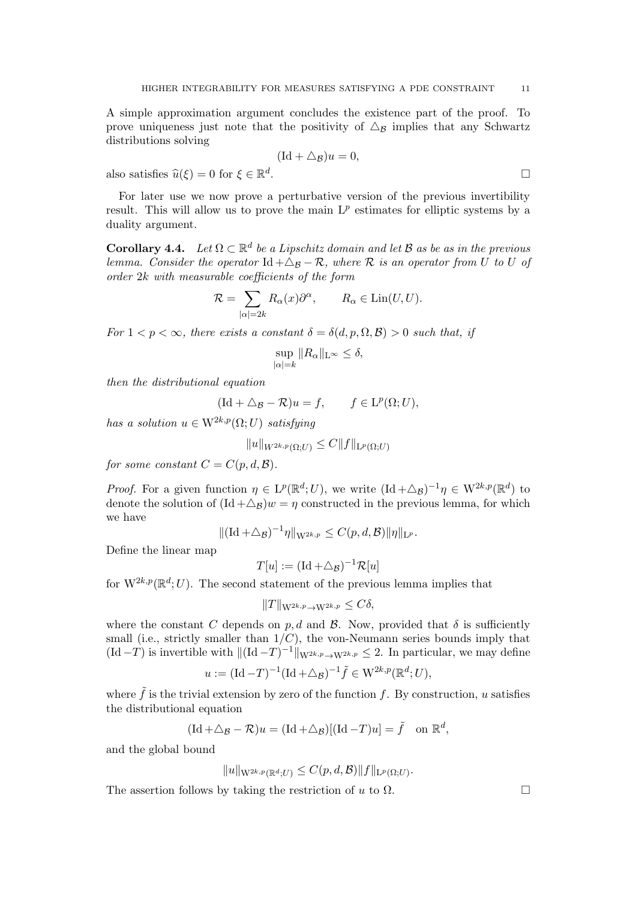A simple approximation argument concludes the existence part of the proof. To prove uniqueness just note that the positivity of  $\Delta_B$  implies that any Schwartz distributions solving

$$
(\mathrm{Id} + \triangle_{\mathcal{B}})u = 0,
$$

also satisfies  $\widehat{u}(\xi) = 0$  for  $\xi \in \mathbb{R}^d$ 

For later use we now prove a perturbative version of the previous invertibility result. This will allow us to prove the main  $L^p$  estimates for elliptic systems by a duality argument.

<span id="page-10-0"></span>**Corollary 4.4.** Let  $\Omega \subset \mathbb{R}^d$  be a Lipschitz domain and let B as be as in the previous lemma. Consider the operator Id + $\triangle$ <sub>B</sub> –  $\mathcal{R}$ , where  $\mathcal{R}$  is an operator from  $\overline{U}$  to  $\overline{U}$  of order 2k with measurable coefficients of the form

$$
\mathcal{R} = \sum_{|\alpha|=2k} R_{\alpha}(x)\partial^{\alpha}, \qquad R_{\alpha} \in \text{Lin}(U, U).
$$

For  $1 < p < \infty$ , there exists a constant  $\delta = \delta(d, p, \Omega, \mathcal{B}) > 0$  such that, if

$$
\sup_{|\alpha|=k} \|R_{\alpha}\|_{\mathcal{L}^{\infty}} \leq \delta,
$$

then the distributional equation

$$
(\mathrm{Id} + \triangle_{\mathcal{B}} - \mathcal{R})u = f, \qquad f \in \mathrm{L}^p(\Omega; U),
$$

has a solution  $u \in W^{2k,p}(\Omega;U)$  satisfying

$$
||u||_{W^{2k,p}(\Omega;U)} \leq C||f||_{L^p(\Omega;U)}
$$

for some constant  $C = C(p, d, \mathcal{B}).$ 

*Proof.* For a given function  $\eta \in L^p(\mathbb{R}^d; U)$ , we write  $(\mathrm{Id} + \triangle_B)^{-1} \eta \in W^{2k,p}(\mathbb{R}^d)$  to denote the solution of  $(\text{Id} + \triangle_B)w = \eta$  constructed in the previous lemma, for which we have

$$
\|(\mathrm{Id} + \triangle_{\mathcal{B}})^{-1} \eta \|_{\mathrm{W}^{2k, p}} \leq C(p, d, \mathcal{B}) \|\eta\|_{\mathrm{L}^p}.
$$

Define the linear map

$$
T[u] := (\mathrm{Id} + \triangle_{\mathcal{B}})^{-1} \mathcal{R}[u]
$$

for  $W^{2k,p}(\mathbb{R}^d;U)$ . The second statement of the previous lemma implies that

$$
||T||_{\mathcal{W}^{2k,p}\to\mathcal{W}^{2k,p}}\leq C\delta,
$$

where the constant C depends on p, d and B. Now, provided that  $\delta$  is sufficiently small (i.e., strictly smaller than  $1/C$ ), the von-Neumann series bounds imply that  $(\text{Id}-T)$  is invertible with  $\|(\text{Id}-T)^{-1}\|_{\mathcal{W}^{2k,p}\to\mathcal{W}^{2k,p}} \leq 2$ . In particular, we may define

$$
u := (\mathrm{Id} - T)^{-1} (\mathrm{Id} + \triangle_{\mathcal{B}})^{-1} \tilde{f} \in \mathrm{W}^{2k, p}(\mathbb{R}^d; U),
$$

where  $\hat{f}$  is the trivial extension by zero of the function f. By construction, u satisfies the distributional equation

$$
(\mathrm{Id} + \triangle_{\mathcal{B}} - \mathcal{R})u = (\mathrm{Id} + \triangle_{\mathcal{B}})[(\mathrm{Id} - T)u] = \tilde{f} \text{ on } \mathbb{R}^d,
$$

and the global bound

$$
||u||_{\mathcal{W}^{2k,p}(\mathbb{R}^d;U)} \leq C(p,d,\mathcal{B})||f||_{\mathcal{L}^p(\Omega;U)}.
$$

The assertion follows by taking the restriction of u to  $\Omega$ .

. <u>Податни политически при подател в по</u>ти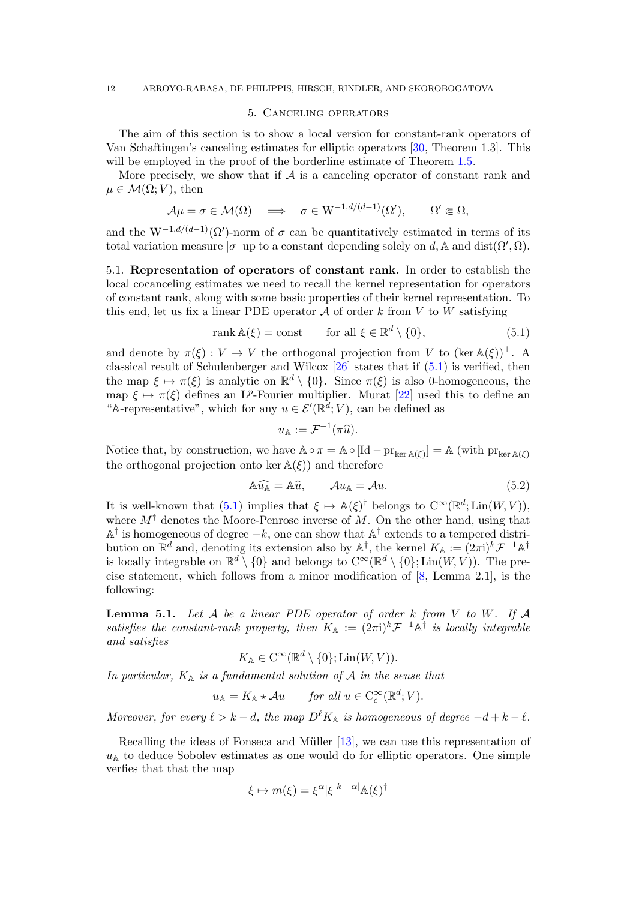## 5. Canceling operators

<span id="page-11-0"></span>The aim of this section is to show a local version for constant-rank operators of Van Schaftingen's canceling estimates for elliptic operators [\[30,](#page-24-6) Theorem 1.3]. This will be employed in the proof of the borderline estimate of Theorem [1.5.](#page-2-0)

More precisely, we show that if  $A$  is a canceling operator of constant rank and  $\mu \in \mathcal{M}(\Omega; V)$ , then

$$
\mathcal{A}\mu = \sigma \in \mathcal{M}(\Omega) \quad \Longrightarrow \quad \sigma \in W^{-1,d/(d-1)}(\Omega'), \qquad \Omega' \Subset \Omega,
$$

and the  $W^{-1,d/(d-1)}(\Omega')$ -norm of  $\sigma$  can be quantitatively estimated in terms of its total variation measure  $|\sigma|$  up to a constant depending solely on d, A and dist $(\Omega', \Omega)$ .

5.1. Representation of operators of constant rank. In order to establish the local cocanceling estimates we need to recall the kernel representation for operators of constant rank, along with some basic properties of their kernel representation. To this end, let us fix a linear PDE operator  $A$  of order k from V to W satisfying

<span id="page-11-1"></span>rank 
$$
\mathbb{A}(\xi) = \text{const}
$$
 for all  $\xi \in \mathbb{R}^d \setminus \{0\},$  (5.1)

and denote by  $\pi(\xi): V \to V$  the orthogonal projection from V to  $(\ker A(\xi))^{\perp}$ . A classical result of Schulenberger and Wilcox [\[26\]](#page-24-10) states that if [\(5.1\)](#page-11-1) is verified, then the map  $\xi \mapsto \pi(\xi)$  is analytic on  $\mathbb{R}^d \setminus \{0\}$ . Since  $\pi(\xi)$  is also 0-homogeneous, the map  $\xi \mapsto \pi(\xi)$  defines an L<sup>p</sup>-Fourier multiplier. Murat [\[22\]](#page-24-1) used this to define an "A-representative", which for any  $u \in \mathcal{E}'(\mathbb{R}^d; V)$ , can be defined as

$$
u_{\mathbb{A}} := \mathcal{F}^{-1}(\pi \widehat{u}).
$$

Notice that, by construction, we have  $\mathbb{A} \circ \pi = \mathbb{A} \circ [\text{Id} - \text{pr}_{\ker \mathbb{A}(\xi)}] = \mathbb{A}$  (with  $\text{pr}_{\ker \mathbb{A}(\xi)}$ the orthogonal projection onto ker  $\mathbb{A}(\xi)$  and therefore

$$
\mathbb{A}\widehat{u_{\mathbb{A}}} = \mathbb{A}\widehat{u}, \qquad \mathcal{A}u_{\mathbb{A}} = \mathcal{A}u. \tag{5.2}
$$

It is well-known that  $(5.1)$  implies that  $\xi \mapsto \mathbb{A}(\xi)^{\dagger}$  belongs to  $C^{\infty}(\mathbb{R}^d; \text{Lin}(W, V)),$ where  $M^{\dagger}$  denotes the Moore-Penrose inverse of M. On the other hand, using that  $\mathbb{A}^{\dagger}$  is homogeneous of degree  $-k$ , one can show that  $\mathbb{A}^{\dagger}$  extends to a tempered distribution on  $\mathbb{R}^d$  and, denoting its extension also by  $\mathbb{A}^{\dagger}$ , the kernel  $K_{\mathbb{A}} := (2\pi i)^k \mathcal{F}^{-1} \mathbb{A}^{\dagger}$ is locally integrable on  $\mathbb{R}^d \setminus \{0\}$  and belongs to  $C^{\infty}(\mathbb{R}^d \setminus \{0\}; \text{Lin}(W, V))$ . The precise statement, which follows from a minor modification of [\[8,](#page-23-11) Lemma 2.1], is the following:

<span id="page-11-2"></span>**Lemma 5.1.** Let  $A$  be a linear PDE operator of order  $k$  from  $V$  to  $W$ . If  $A$ satisfies the constant-rank property, then  $K_A := (2\pi i)^k \mathcal{F}^{-1} \mathbb{A}^{\dagger}$  is locally integrable and satisfies

$$
K_{\mathbb{A}} \in \mathcal{C}^{\infty}(\mathbb{R}^d \setminus \{0\}; \text{Lin}(W, V)).
$$

In particular,  $K_A$  is a fundamental solution of A in the sense that

$$
u_{\mathbb{A}} = K_{\mathbb{A}} \star \mathcal{A}u \quad \text{for all } u \in C_c^{\infty}(\mathbb{R}^d; V).
$$

Moreover, for every  $\ell > k - d$ , the map  $D^{\ell} K_{\mathbb{A}}$  is homogeneous of degree  $-d+k-\ell$ .

Recalling the ideas of Fonseca and Müller  $[13]$ , we can use this representation of  $u<sub>A</sub>$  to deduce Sobolev estimates as one would do for elliptic operators. One simple verfies that that the map

$$
\xi \mapsto m(\xi) = \xi^{\alpha} |\xi|^{k-|\alpha|} \mathbb{A}(\xi)^{\dagger}
$$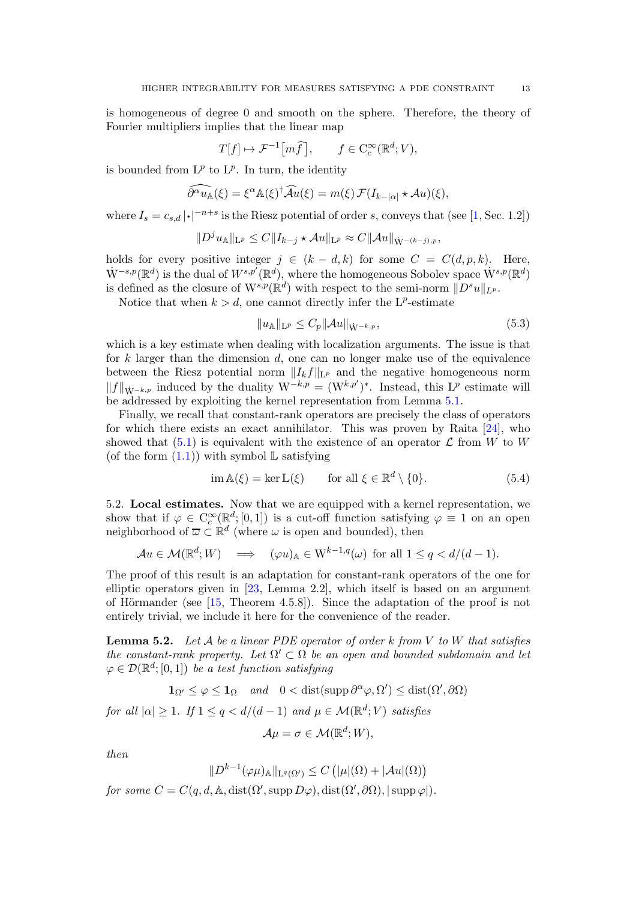is homogeneous of degree 0 and smooth on the sphere. Therefore, the theory of Fourier multipliers implies that the linear map

$$
T[f] \mapsto \mathcal{F}^{-1}\big[m\widehat{f}\big], \qquad f \in \mathcal{C}_c^{\infty}(\mathbb{R}^d; V),
$$

is bounded from  $L^p$  to  $L^p$ . In turn, the identity

$$
\widehat{\partial^{\alpha} u_{\mathbb{A}}}(\xi) = \xi^{\alpha} \mathbb{A}(\xi)^{\dagger} \widehat{\mathcal{A}u}(\xi) = m(\xi) \mathcal{F}(I_{k-|\alpha|} \star \mathcal{A}u)(\xi),
$$

where  $I_s = c_{s,d} |\cdot|^{-n+s}$  is the Riesz potential of order s, conveys that (see [\[1,](#page-23-10) Sec. 1.2])

$$
||D^{j}u_{\mathbb{A}}||_{\mathcal{L}^{p}} \leq C||I_{k-j} \star \mathcal{A}u||_{\mathcal{L}^{p}} \approx C||\mathcal{A}u||_{\dot{\mathcal{W}}^{-(k-j),p}},
$$

holds for every positive integer  $j \in (k-d,k)$  for some  $C = C(d,p,k)$ . Here,  $\dot{W}^{-s,p}(\mathbb{R}^d)$  is the dual of  $W^{s,p'}(\mathbb{R}^d)$ , where the homogeneous Sobolev space  $\dot{W}^{s,p}(\mathbb{R}^d)$ is defined as the closure of  $W^{s,p}(\mathbb{R}^d)$  with respect to the semi-norm  $||D^s u||_{L^p}$ .

Notice that when  $k > d$ , one cannot directly infer the  $L^p$ -estimate

$$
||u_{\mathbb{A}}||_{\mathcal{L}^p} \le C_p ||\mathcal{A}u||_{\dot{\mathcal{W}}^{-k,p}},
$$
\n(5.3)

which is a key estimate when dealing with localization arguments. The issue is that for  $k$  larger than the dimension  $d$ , one can no longer make use of the equivalence between the Riesz potential norm  $||I_kf||_{L^p}$  and the negative homogeneous norm  $||f||_{\dot{W}^{-k,p}}$  induced by the duality  $W^{-k,p} = (W^{k,p'})^*$ . Instead, this L<sup>p</sup> estimate will be addressed by exploiting the kernel representation from Lemma [5.1.](#page-11-2)

Finally, we recall that constant-rank operators are precisely the class of operators for which there exists an exact annihilator. This was proven by Raita [\[24\]](#page-24-11), who showed that [\(5.1\)](#page-11-1) is equivalent with the existence of an operator  $\mathcal L$  from W to W (of the form  $(1.1)$ ) with symbol L satisfying

<span id="page-12-1"></span>
$$
\operatorname{im} \mathbb{A}(\xi) = \ker \mathbb{L}(\xi) \qquad \text{for all } \xi \in \mathbb{R}^d \setminus \{0\}. \tag{5.4}
$$

5.2. Local estimates. Now that we are equipped with a kernel representation, we show that if  $\varphi \in C_c^{\infty}(\mathbb{R}^d; [0,1])$  is a cut-off function satisfying  $\varphi \equiv 1$  on an open neighborhood of  $\overline{\omega} \subset \mathbb{R}^d$  (where  $\omega$  is open and bounded), then

$$
\mathcal{A}u \in \mathcal{M}(\mathbb{R}^d; W) \quad \Longrightarrow \quad (\varphi u)_{\mathbb{A}} \in W^{k-1,q}(\omega) \text{ for all } 1 \le q < d/(d-1).
$$

The proof of this result is an adaptation for constant-rank operators of the one for elliptic operators given in [\[23,](#page-24-12) Lemma 2.2], which itself is based on an argument of Hörmander (see [\[15,](#page-24-13) Theorem 4.5.8]). Since the adaptation of the proof is not entirely trivial, we include it here for the convenience of the reader.

<span id="page-12-0"></span>**Lemma 5.2.** Let  $A$  be a linear PDE operator of order  $k$  from  $V$  to  $W$  that satisfies the constant-rank property. Let  $\Omega' \subset \Omega$  be an open and bounded subdomain and let  $\varphi \in \mathcal{D}(\mathbb{R}^d;[0,1])$  be a test function satisfying

$$
\mathbf{1}_{\Omega'} \le \varphi \le \mathbf{1}_{\Omega} \quad \text{and} \quad 0 < \text{dist}(\text{supp }\partial^{\alpha}\varphi, \Omega') \le \text{dist}(\Omega', \partial \Omega)
$$

for all  $|\alpha| \geq 1$ . If  $1 \leq q < d/(d-1)$  and  $\mu \in \mathcal{M}(\mathbb{R}^d; V)$  satisfies

$$
\mathcal{A}\mu=\sigma\in\mathcal{M}(\mathbb{R}^d;W),
$$

then

$$
||D^{k-1}(\varphi\mu)_{\mathbb{A}}||_{\mathbf{L}^{q}(\Omega')}\leq C\left(|\mu|(\Omega)+|\mathcal{A}u|(\Omega)\right)
$$
  
for some  $C=C(q,d,\mathbb{A},\text{dist}(\Omega',\text{supp}\,D\varphi),\text{dist}(\Omega',\partial\Omega),|\text{supp}\,\varphi|).$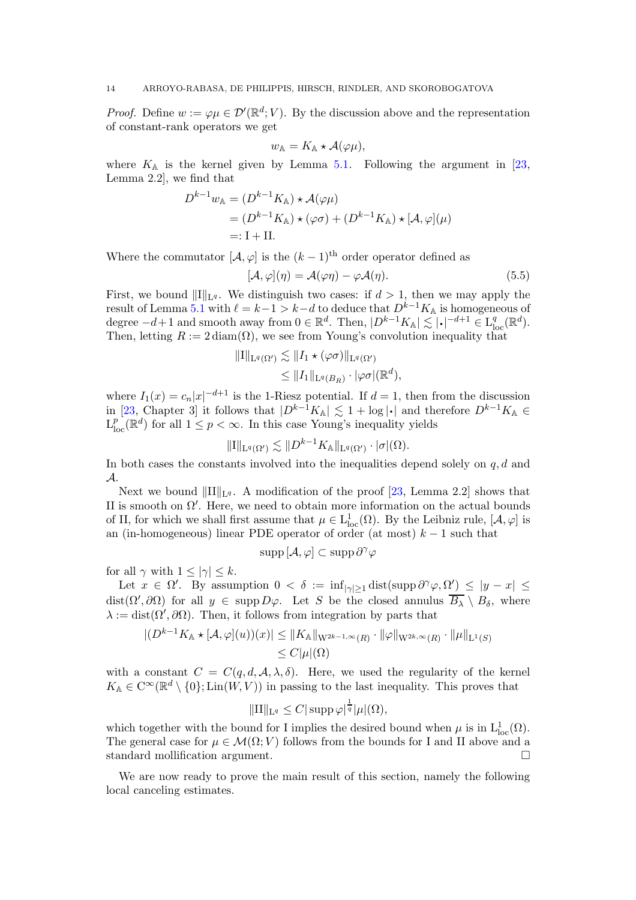#### 14 ARROYO-RABASA, DE PHILIPPIS, HIRSCH, RINDLER, AND SKOROBOGATOVA

*Proof.* Define  $w := \varphi \mu \in \mathcal{D}'(\mathbb{R}^d; V)$ . By the discussion above and the representation of constant-rank operators we get

$$
w_{\mathbb{A}} = K_{\mathbb{A}} \star \mathcal{A}(\varphi \mu),
$$

where  $K_A$  is the kernel given by Lemma [5.1.](#page-11-2) Following the argument in [\[23,](#page-24-12) Lemma 2.2], we find that

$$
D^{k-1}w_{\mathbb{A}} = (D^{k-1}K_{\mathbb{A}}) \star \mathcal{A}(\varphi\mu)
$$
  
=  $(D^{k-1}K_{\mathbb{A}}) \star (\varphi\sigma) + (D^{k-1}K_{\mathbb{A}}) \star [\mathcal{A}, \varphi](\mu)$   
=: I + II.

Where the commutator  $[\mathcal{A}, \varphi]$  is the  $(k-1)$ <sup>th</sup> order operator defined as

<span id="page-13-0"></span>
$$
[\mathcal{A}, \varphi](\eta) = \mathcal{A}(\varphi \eta) - \varphi \mathcal{A}(\eta). \tag{5.5}
$$

First, we bound  $\|\Pi\|_{L^q}$ . We distinguish two cases: if  $d > 1$ , then we may apply the result of Lemma [5.1](#page-11-2) with  $\ell = k-1 > k-d$  to deduce that  $D^{k-1}K_A$  is homogeneous of degree  $-d+1$  and smooth away from  $0 \in \mathbb{R}^d$ . Then,  $|D^{k-1}K_{\mathbb{A}}| \lesssim |\cdot|^{-d+1} \in L^q_{loc}(\mathbb{R}^d)$ . Then, letting  $R := 2 \operatorname{diam}(\Omega)$ , we see from Young's convolution inequality that

$$
||I||_{L^{q}(\Omega')}\lesssim ||I_{1}\star(\varphi\sigma)||_{L^{q}(\Omega')}
$$

$$
\leq ||I_{1}||_{L^{q}(B_{R})}\cdot|\varphi\sigma|(\mathbb{R}^{d}),
$$

where  $I_1(x) = c_n |x|^{-d+1}$  is the 1-Riesz potential. If  $d = 1$ , then from the discussion in [\[23,](#page-24-12) Chapter 3] it follows that  $|D^{k-1}K_A| \lesssim 1 + \log |\cdot|$  and therefore  $D^{k-1}K_A \in$  $L^p_{\text{loc}}(\mathbb{R}^d)$  for all  $1 \leq p < \infty$ . In this case Young's inequality yields

$$
||I||_{\mathrm{L}^q(\Omega')} \lesssim ||D^{k-1} K_{\mathbb{A}}||_{\mathrm{L}^q(\Omega')} \cdot |\sigma|(\Omega).
$$

In both cases the constants involved into the inequalities depend solely on  $q, d$  and A.

Next we bound  $\|\Pi\|_{\mathbb{L}^q}$ . A modification of the proof [\[23,](#page-24-12) Lemma 2.2] shows that II is smooth on  $\Omega'$ . Here, we need to obtain more information on the actual bounds of II, for which we shall first assume that  $\mu \in L^1_{loc}(\Omega)$ . By the Leibniz rule,  $[\mathcal{A}, \varphi]$  is an (in-homogeneous) linear PDE operator of order (at most)  $k-1$  such that

$$
\operatorname{supp}\left[\mathcal{A},\varphi\right]\subset\operatorname{supp}\partial^{\gamma}\varphi
$$

for all  $\gamma$  with  $1 \leq |\gamma| \leq k$ .

Let  $x \in \Omega'$ . By assumption  $0 < \delta := \inf_{|\gamma| \geq 1} \text{dist}(\text{supp }\partial^{\gamma} \varphi, \Omega'') \leq |y - x| \leq$  $dist(\Omega', \partial \Omega)$  for all  $y \in \text{supp } D\varphi$ . Let S be the closed annulus  $\overline{B_{\lambda}} \setminus B_{\delta}$ , where  $\lambda := \text{dist}(\Omega', \partial \Omega)$ . Then, it follows from integration by parts that

$$
|(D^{k-1}K_{\mathbb{A}} \star [\mathcal{A}, \varphi](u))(x)| \leq \|K_{\mathbb{A}}\|_{\mathcal{W}^{2k-1,\infty}(R)} \cdot \|\varphi\|_{\mathcal{W}^{2k,\infty}(R)} \cdot \|\mu\|_{\mathcal{L}^{1}(S)}
$$
  

$$
\leq C|\mu|(\Omega)
$$

with a constant  $C = C(q, d, \lambda, \lambda, \delta)$ . Here, we used the regularity of the kernel  $K_{\mathbb{A}} \in C^{\infty}(\mathbb{R}^d \setminus \{0\}; \text{Lin}(W, V))$  in passing to the last inequality. This proves that

$$
\|\text{II}\|_{\text{L}^q} \leq C |\operatorname{supp} \varphi|^{\frac{1}{q}} |\mu|(\Omega),
$$

which together with the bound for I implies the desired bound when  $\mu$  is in  $L^1_{loc}(\Omega)$ . The general case for  $\mu \in \mathcal{M}(\Omega; V)$  follows from the bounds for I and II above and a standard mollification argument.

We are now ready to prove the main result of this section, namely the following local canceling estimates.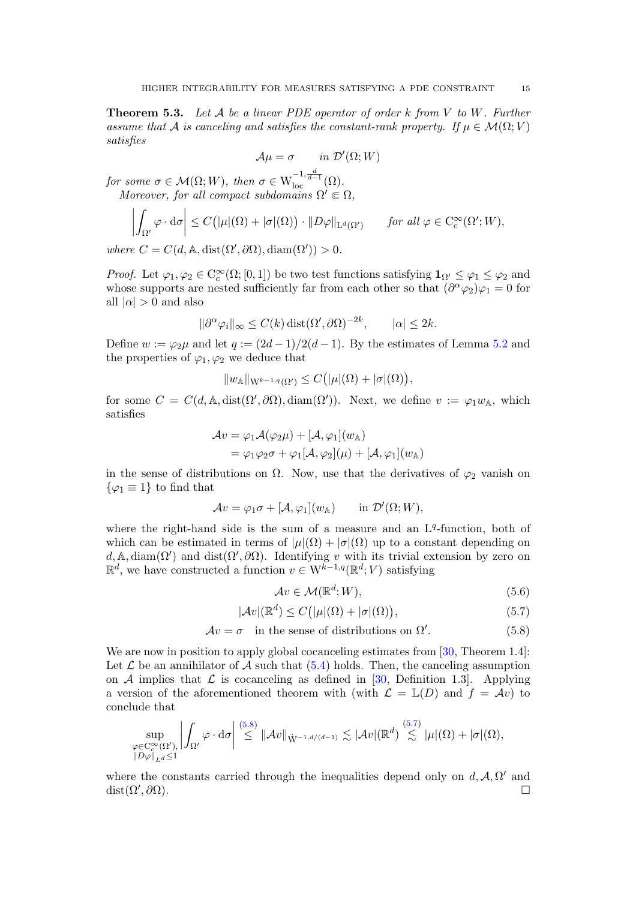<span id="page-14-2"></span>**Theorem 5.3.** Let A be a linear PDE operator of order k from V to W. Further assume that A is canceling and satisfies the constant-rank property. If  $\mu \in \mathcal{M}(\Omega; V)$ satisfies

$$
\mathcal{A}\mu = \sigma \qquad in \ \mathcal{D}'(\Omega;W)
$$

for some  $\sigma \in \mathcal{M}(\Omega; W)$ , then  $\sigma \in W^{-1, \frac{d}{d-1}}_{\text{loc}}(\Omega)$ . Moreover, for all compact subdomains  $\Omega' \in \Omega$ ,

$$
\left| \int_{\Omega'} \varphi \cdot d\sigma \right| \le C\big( |\mu|(\Omega) + |\sigma|(\Omega) \big) \cdot ||D\varphi||_{\mathcal{L}^d(\Omega')} \quad \text{for all } \varphi \in C_c^{\infty}(\Omega'; W),
$$
  
re  $C = C(d, \mathbb{A} \text{ dist}(Q', \partial\Omega) \text{ dim}(Q')) > 0$ 

where  $C = C(d, \mathbb{A}, \text{dist}(\Omega', \partial \Omega), \text{diam}(\Omega')) > 0.$ 

Proof. Let  $\varphi_1, \varphi_2 \in C_c^{\infty}(\Omega; [0,1])$  be two test functions satisfying  $\mathbf{1}_{\Omega'} \leq \varphi_1 \leq \varphi_2$  and whose supports are nested sufficiently far from each other so that  $(\partial^{\alpha}\varphi_2)\varphi_1 = 0$  for all  $|\alpha| > 0$  and also

$$
\|\partial^{\alpha}\varphi_i\|_{\infty} \le C(k) \operatorname{dist}(\Omega', \partial \Omega)^{-2k}, \qquad |\alpha| \le 2k.
$$

Define  $w := \varphi_2 \mu$  and let  $q := (2d-1)/2(d-1)$ . By the estimates of Lemma [5.2](#page-12-0) and the properties of  $\varphi_1, \varphi_2$  we deduce that

$$
||w_\mathbb{A}||_{\mathcal{W}^{k-1,q}(\Omega')}\leq C\big(|\mu|(\Omega)+|\sigma|(\Omega)\big),
$$

for some  $C = C(d, \mathbb{A}, \text{dist}(\Omega', \partial \Omega), \text{diam}(\Omega'))$ . Next, we define  $v := \varphi_1 w_{\mathbb{A}}$ , which satisfies

$$
\mathcal{A}v = \varphi_1 \mathcal{A}(\varphi_2 \mu) + [\mathcal{A}, \varphi_1](w_\mathbb{A})
$$
  
=  $\varphi_1 \varphi_2 \sigma + \varphi_1 [\mathcal{A}, \varphi_2](\mu) + [\mathcal{A}, \varphi_1](w_\mathbb{A})$ 

in the sense of distributions on  $\Omega$ . Now, use that the derivatives of  $\varphi_2$  vanish on  $\{\varphi_1 \equiv 1\}$  to find that

$$
\mathcal{A}v = \varphi_1\sigma + [\mathcal{A}, \varphi_1](w_\mathbb{A}) \quad \text{in } \mathcal{D}'(\Omega; W),
$$

where the right-hand side is the sum of a measure and an  $L<sup>q</sup>$ -function, both of which can be estimated in terms of  $|\mu|(\Omega) + |\sigma|(\Omega)$  up to a constant depending on d, A, diam( $\Omega'$ ) and dist( $\Omega'$ ,  $\partial\Omega$ ). Identifying v with its trivial extension by zero on  $\mathbb{R}^d$ , we have constructed a function  $v \in W^{k-1,q}(\mathbb{R}^d; V)$  satisfying

<span id="page-14-1"></span><span id="page-14-0"></span>
$$
\mathcal{A}v \in \mathcal{M}(\mathbb{R}^d; W),\tag{5.6}
$$

$$
|\mathcal{A}v|(\mathbb{R}^d) \le C(|\mu|(\Omega) + |\sigma|(\Omega)),\tag{5.7}
$$

$$
\mathcal{A}v = \sigma \quad \text{in the sense of distributions on } \Omega'. \tag{5.8}
$$

We are now in position to apply global cocanceling estimates from [\[30,](#page-24-6) Theorem 1.4]: Let  $\mathcal L$  be an annihilator of  $\mathcal A$  such that [\(5.4\)](#page-12-1) holds. Then, the canceling assumption on A implies that  $\mathcal L$  is cocanceling as defined in [\[30,](#page-24-6) Definition 1.3]. Applying a version of the aforementioned theorem with (with  $\mathcal{L} = \mathbb{L}(D)$  and  $f = \mathcal{A}v$ ) to conclude that

$$
\sup_{\substack{\varphi \in C_c^\infty(\Omega'), \\ \|D\varphi\|_{L^d} \leq 1}} \left| \int_{\Omega'} \varphi \cdot d\sigma \right| \stackrel{(5.8)}{\leq} \|\mathcal{A}v\|_{\dot{\mathrm{W}}^{-1, d/(d-1)}} \lesssim |\mathcal{A}v| (\mathbb{R}^d) \stackrel{(5.7)}{\lesssim} |\mu|(\Omega) + |\sigma|(\Omega),
$$

where the constants carried through the inequalities depend only on  $d, A, \Omega'$  and  $dist(\Omega',\partial\Omega).$  $,\partial\Omega$ ).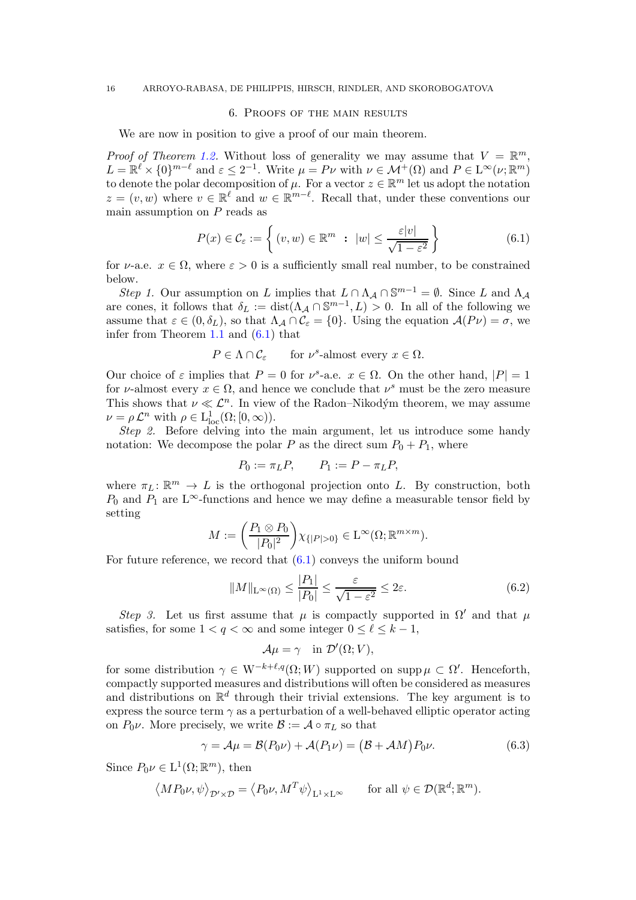#### <span id="page-15-0"></span>16 ARROYO-RABASA, DE PHILIPPIS, HIRSCH, RINDLER, AND SKOROBOGATOVA

## 6. Proofs of the main results

We are now in position to give a proof of our main theorem.

*Proof of Theorem [1.2.](#page-1-0)* Without loss of generality we may assume that  $V = \mathbb{R}^m$ ,  $L = \mathbb{R}^{\ell} \times \{0\}^{m-\ell}$  and  $\varepsilon \leq 2^{-1}$ . Write  $\mu = P\nu$  with  $\nu \in \mathcal{M}^+(\Omega)$  and  $P \in \mathcal{L}^{\infty}(\nu; \mathbb{R}^m)$ to denote the polar decomposition of  $\mu$ . For a vector  $z \in \mathbb{R}^m$  let us adopt the notation  $z = (v, w)$  where  $v \in \mathbb{R}^{\ell}$  and  $w \in \mathbb{R}^{m-\ell}$ . Recall that, under these conventions our main assumption on  $P$  reads as

<span id="page-15-1"></span>
$$
P(x) \in \mathcal{C}_{\varepsilon} := \left\{ (v, w) \in \mathbb{R}^m : |w| \le \frac{\varepsilon |v|}{\sqrt{1 - \varepsilon^2}} \right\}
$$
(6.1)

for  $\nu$ -a.e.  $x \in \Omega$ , where  $\varepsilon > 0$  is a sufficiently small real number, to be constrained below.

Step 1. Our assumption on L implies that  $L \cap \Lambda_{\mathcal{A}} \cap \mathbb{S}^{m-1} = \emptyset$ . Since L and  $\Lambda_{\mathcal{A}}$ are cones, it follows that  $\delta_L := \text{dist}(\Lambda_{\mathcal{A}} \cap \mathbb{S}^{m-1}, L) > 0$ . In all of the following we assume that  $\varepsilon \in (0, \delta_L)$ , so that  $\Lambda_A \cap C_{\varepsilon} = \{0\}$ . Using the equation  $\mathcal{A}(P\nu) = \sigma$ , we infer from Theorem [1.1](#page-1-2) and [\(6.1\)](#page-15-1) that

> $P \in \Lambda \cap \mathcal{C}_\varepsilon$ <sup>s</sup>-almost every  $x \in \Omega$ .

Our choice of  $\varepsilon$  implies that  $P = 0$  for  $\nu^s$ -a.e.  $x \in \Omega$ . On the other hand,  $|P| = 1$ for *ν*-almost every  $x \in \Omega$ , and hence we conclude that  $\nu^s$  must be the zero measure This shows that  $\nu \ll \mathcal{L}^n$ . In view of the Radon–Nikodým theorem, we may assume  $\nu = \rho \mathcal{L}^n$  with  $\rho \in L^1_{loc}(\Omega; [0, \infty)).$ 

Step 2. Before delving into the main argument, let us introduce some handy notation: We decompose the polar P as the direct sum  $P_0 + P_1$ , where

$$
P_0 := \pi_L P, \qquad P_1 := P - \pi_L P,
$$

where  $\pi_L: \mathbb{R}^m \to L$  is the orthogonal projection onto L. By construction, both  $P_0$  and  $P_1$  are L∞-functions and hence we may define a measurable tensor field by setting

$$
M:=\bigg(\frac{P_1\otimes P_0}{|P_0|^2}\bigg)\chi_{\{|P|>0\}}\in\mathrm{L}^\infty(\Omega;\mathbb{R}^{m\times m}).
$$

For future reference, we record that  $(6.1)$  conveys the uniform bound

$$
||M||_{\mathcal{L}^{\infty}(\Omega)} \le \frac{|P_1|}{|P_0|} \le \frac{\varepsilon}{\sqrt{1-\varepsilon^2}} \le 2\varepsilon. \tag{6.2}
$$

Step 3. Let us first assume that  $\mu$  is compactly supported in  $\Omega'$  and that  $\mu$ satisfies, for some  $1 < q < \infty$  and some integer  $0 \leq \ell \leq k - 1$ ,

<span id="page-15-2"></span>
$$
\mathcal{A}\mu = \gamma \quad \text{in } \mathcal{D}'(\Omega; V),
$$

for some distribution  $\gamma \in W^{-k+\ell,q}(\Omega;W)$  supported on supp $\mu \subset \Omega'$ . Henceforth, compactly supported measures and distributions will often be considered as measures and distributions on  $\mathbb{R}^d$  through their trivial extensions. The key argument is to express the source term  $\gamma$  as a perturbation of a well-behaved elliptic operator acting on  $P_0 \nu$ . More precisely, we write  $\mathcal{B} := \mathcal{A} \circ \pi_L$  so that

$$
\gamma = \mathcal{A}\mu = \mathcal{B}(P_0\nu) + \mathcal{A}(P_1\nu) = (\mathcal{B} + \mathcal{A}M)P_0\nu.
$$
\n(6.3)

Since  $P_0 \nu \in L^1(\Omega;\mathbb{R}^m)$ , then

$$
\left\langle MP_0 \nu, \psi \right\rangle_{\mathcal{D}' \times \mathcal{D}} = \left\langle P_0 \nu, M^T \psi \right\rangle_{\mathbf{L}^1 \times \mathbf{L}^\infty} \qquad \text{for all } \psi \in \mathcal{D}(\mathbb{R}^d; \mathbb{R}^m).
$$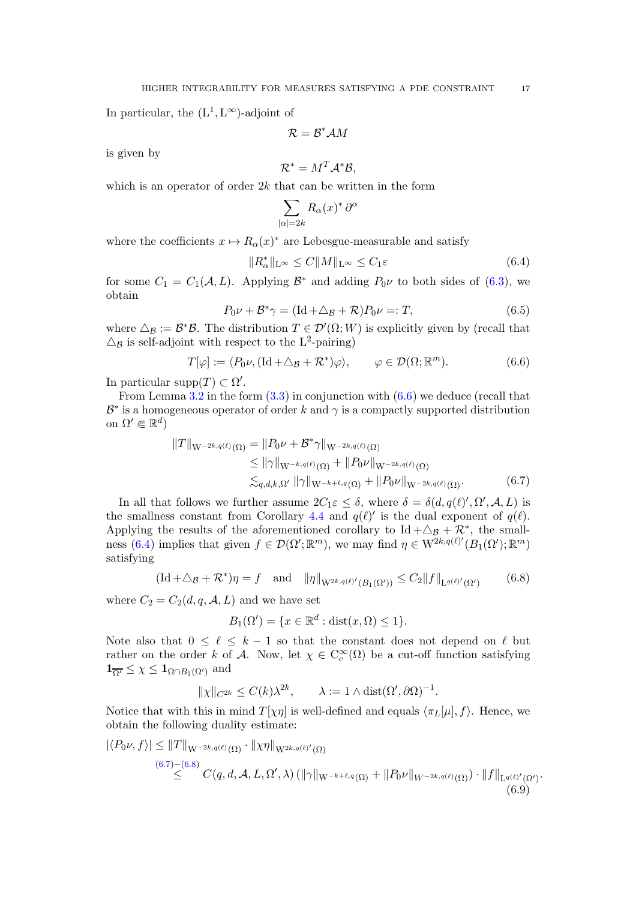In particular, the  $(L^1, L^{\infty})$ -adjoint of

$$
\mathcal{R}=\mathcal{B}^*\mathcal{A}M
$$

is given by

$$
\mathcal{R}^* = M^T \mathcal{A}^* \mathcal{B},
$$

which is an operator of order  $2k$  that can be written in the form

$$
\sum_{|\alpha|=2k} R_\alpha(x)^* \, \partial^\alpha
$$

where the coefficients  $x \mapsto R_{\alpha}(x)^*$  are Lebesgue-measurable and satisfy

<span id="page-16-1"></span>
$$
||R_{\alpha}^*||_{\mathcal{L}^{\infty}} \le C||M||_{\mathcal{L}^{\infty}} \le C_1 \varepsilon
$$
\n(6.4)

for some  $C_1 = C_1(\mathcal{A}, L)$ . Applying  $\mathcal{B}^*$  and adding  $P_0\nu$  to both sides of [\(6.3\)](#page-15-2), we obtain

$$
P_0 \nu + \mathcal{B}^* \gamma = (\text{Id} + \triangle_{\mathcal{B}} + \mathcal{R}) P_0 \nu =: T,
$$
\n(6.5)

where  $\Delta_{\mathcal{B}} := \mathcal{B}^*\mathcal{B}$ . The distribution  $T \in \mathcal{D}'(\Omega; W)$  is explicitly given by (recall that  $\triangle$ <sub>B</sub> is self-adjoint with respect to the L<sup>2</sup>-pairing)

<span id="page-16-0"></span>
$$
T[\varphi] := \langle P_0 \nu, (\text{Id} + \triangle_B + \mathcal{R}^*) \varphi \rangle, \qquad \varphi \in \mathcal{D}(\Omega; \mathbb{R}^m). \tag{6.6}
$$

In particular  $\text{supp}(T) \subset \Omega'$ .

From Lemma [3.2](#page-8-2) in the form  $(3.3)$  in conjunction with  $(6.6)$  we deduce (recall that  $\mathcal{B}^*$  is a homogeneous operator of order k and  $\gamma$  is a compactly supported distribution on  $\Omega' \in \mathbb{R}^d$ )

$$
||T||_{\mathcal{W}^{-2k,q(\ell)}(\Omega)} = ||P_0 \nu + \mathcal{B}^* \gamma||_{\mathcal{W}^{-2k,q(\ell)}(\Omega)}
$$
  
\n
$$
\leq ||\gamma||_{\mathcal{W}^{-k,q(\ell)}(\Omega)} + ||P_0 \nu||_{\mathcal{W}^{-2k,q(\ell)}(\Omega)}
$$
  
\n
$$
\lesssim_{q,d,k,\Omega'} ||\gamma||_{\mathcal{W}^{-k+\ell,q}(\Omega)} + ||P_0 \nu||_{\mathcal{W}^{-2k,q(\ell)}(\Omega)}.
$$
 (6.7)

In all that follows we further assume  $2C_1\varepsilon \leq \delta$ , where  $\delta = \delta(d, q(\ell)', \Omega', \mathcal{A}, L)$  is the smallness constant from Corollary [4.4](#page-10-0) and  $q(\ell)$ ' is the dual exponent of  $q(\ell)$ . Applying the results of the aforementioned corollary to Id +  $\Delta_{\mathcal{B}} + \mathcal{R}^*$ , the small-ness [\(6.4\)](#page-16-1) implies that given  $f \in \mathcal{D}(\Omega'; \mathbb{R}^m)$ , we may find  $\eta \in W^{2k, q(\ell)'}(B_1(\Omega'); \mathbb{R}^m)$ satisfying

<span id="page-16-3"></span>
$$
(\text{Id} + \triangle_{\mathcal{B}} + \mathcal{R}^*)\eta = f \quad \text{and} \quad \|\eta\|_{W^{2k, q(\ell)'}(B_1(\Omega'))} \le C_2 \|f\|_{L^{q(\ell)'}(\Omega')} \tag{6.8}
$$

where  $C_2 = C_2(d, q, \mathcal{A}, L)$  and we have set

$$
B_1(\Omega') = \{x \in \mathbb{R}^d : \text{dist}(x, \Omega) \le 1\}.
$$

Note also that  $0 \leq \ell \leq k-1$  so that the constant does not depend on  $\ell$  but rather on the order k of A. Now, let  $\chi \in C_c^{\infty}(\Omega)$  be a cut-off function satisfying  $1_{\overline{\Omega'}} \leq \chi \leq 1_{\Omega \cap B_1(\Omega')}$  and

$$
\|\chi\|_{C^{2k}} \le C(k)\lambda^{2k}, \qquad \lambda := 1 \wedge \text{dist}(\Omega', \partial \Omega)^{-1}.
$$

Notice that with this in mind  $T[\chi \eta]$  is well-defined and equals  $\langle \pi_L[\mu], f \rangle$ . Hence, we obtain the following duality estimate:

$$
|\langle P_0\nu, f\rangle| \le ||T||_{\mathcal{W}^{-2k,q(\ell)}(\Omega)} \cdot ||\chi\eta||_{\mathcal{W}^{2k,q(\ell)'}(\Omega)}
$$
  
\n
$$
\leq C(q, d, \mathcal{A}, L, \Omega', \lambda) \left( ||\gamma||_{\mathcal{W}^{-k+\ell,q}(\Omega)} + ||P_0\nu||_{W^{-2k,q(\ell)}(\Omega)} \right) \cdot ||f||_{\mathcal{L}^{q(\ell)'}(\Omega')}
$$
  
\n(6.9)

<span id="page-16-2"></span>.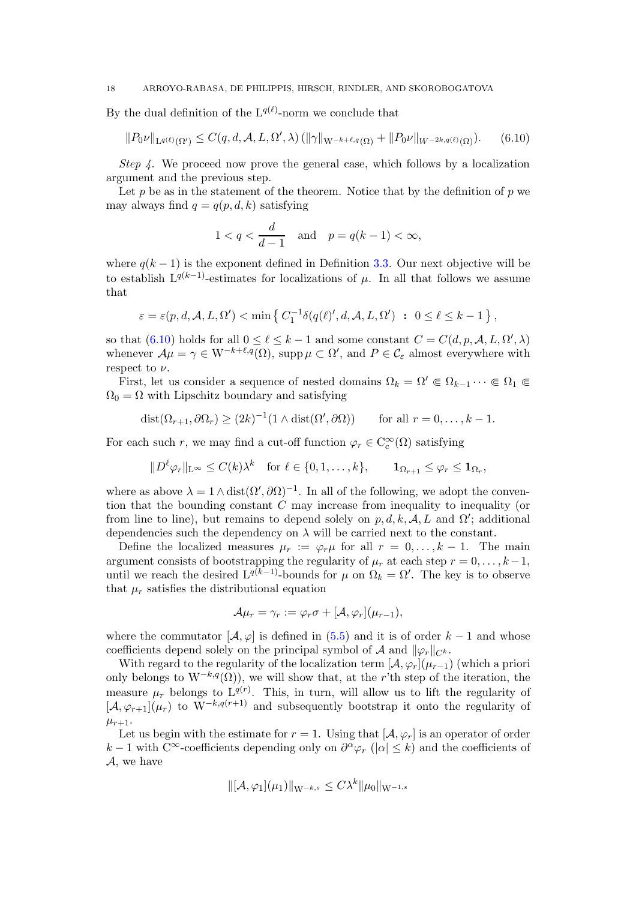# 18 ARROYO-RABASA, DE PHILIPPIS, HIRSCH, RINDLER, AND SKOROBOGATOVA

By the dual definition of the  $L^{q(\ell)}$ -norm we conclude that

<span id="page-17-0"></span>
$$
||P_0\nu||_{\mathbf{L}^{q(\ell)}(\Omega')} \leq C(q,d,\mathcal{A},L,\Omega',\lambda) \left( ||\gamma||_{\mathbf{W}^{-k+\ell,q}(\Omega)} + ||P_0\nu||_{W^{-2k,q(\ell)}(\Omega)} \right).
$$
 (6.10)

Step 4. We proceed now prove the general case, which follows by a localization argument and the previous step.

Let p be as in the statement of the theorem. Notice that by the definition of p we may always find  $q = q(p, d, k)$  satisfying

$$
1 < q < \frac{d}{d-1} \quad \text{and} \quad p = q(k-1) < \infty,
$$

where  $q(k-1)$  is the exponent defined in Definition [3.3.](#page-8-4) Our next objective will be to establish  $L^{q(k-1)}$ -estimates for localizations of  $\mu$ . In all that follows we assume that

$$
\varepsilon = \varepsilon(p, d, \mathcal{A}, L, \Omega') < \min \left\{ C_1^{-1} \delta(q(\ell)', d, \mathcal{A}, L, \Omega') \ : \ 0 \le \ell \le k - 1 \right\},\
$$

so that [\(6.10\)](#page-17-0) holds for all  $0 \leq \ell \leq k-1$  and some constant  $C = C(d, p, \mathcal{A}, L, \Omega', \lambda)$ whenever  $\mathcal{A}\mu = \gamma \in W^{-k+\ell,q}(\Omega)$ , supp  $\mu \subset \Omega'$ , and  $P \in \mathcal{C}_{\varepsilon}$  almost everywhere with respect to  $\nu$ .

First, let us consider a sequence of nested domains  $\Omega_k = \Omega' \in \Omega_{k-1} \cdots \in \Omega_1 \in$  $\Omega_0 = \Omega$  with Lipschitz boundary and satisfying

$$
dist(\Omega_{r+1}, \partial \Omega_r) \ge (2k)^{-1} (1 \wedge dist(\Omega', \partial \Omega)) \quad \text{for all } r = 0, \dots, k-1.
$$

For each such r, we may find a cut-off function  $\varphi_r \in C_c^{\infty}(\Omega)$  satisfying

$$
||D^{\ell}\varphi_r||_{\mathcal{L}^{\infty}} \leq C(k)\lambda^k \quad \text{for } \ell \in \{0, 1, \ldots, k\}, \qquad \mathbf{1}_{\Omega_{r+1}} \leq \varphi_r \leq \mathbf{1}_{\Omega_r},
$$

where as above  $\lambda = 1 \wedge dist(\Omega', \partial \Omega)^{-1}$ . In all of the following, we adopt the convention that the bounding constant  $C$  may increase from inequality to inequality (or from line to line), but remains to depend solely on  $p, d, k, \mathcal{A}, L$  and  $\Omega'$ ; additional dependencies such the dependency on  $\lambda$  will be carried next to the constant.

Define the localized measures  $\mu_r := \varphi_r \mu$  for all  $r = 0, \ldots, k-1$ . The main argument consists of bootstrapping the regularity of  $\mu_r$  at each step  $r = 0, \ldots, k-1$ , until we reach the desired  $L^{q(k-1)}$ -bounds for  $\mu$  on  $\Omega_k = \Omega'$ . The key is to observe that  $\mu_r$  satisfies the distributional equation

$$
\mathcal{A}\mu_r = \gamma_r := \varphi_r \sigma + [\mathcal{A}, \varphi_r](\mu_{r-1}),
$$

where the commutator  $[\mathcal{A}, \varphi]$  is defined in [\(5.5\)](#page-13-0) and it is of order  $k-1$  and whose coefficients depend solely on the principal symbol of A and  $\|\varphi_r\|_{C^k}$ .

With regard to the regularity of the localization term  $[\mathcal{A}, \varphi_r](\mu_{r-1})$  (which a priori only belongs to  $W^{-k,q}(\Omega)$ , we will show that, at the r'th step of the iteration, the measure  $\mu_r$  belongs to  $L^{q(r)}$ . This, in turn, will allow us to lift the regularity of  $[\mathcal{A}, \varphi_{r+1}](\mu_r)$  to  $W^{-k,q(r+1)}$  and subsequently bootstrap it onto the regularity of  $\mu_{r+1}$ .

Let us begin with the estimate for  $r = 1$ . Using that  $[\mathcal{A}, \varphi_r]$  is an operator of order  $k-1$  with C<sup>∞</sup>-coefficients depending only on  $\partial^{\alpha}\varphi_r$  (| $\alpha$ | ≤ k) and the coefficients of A, we have

$$
\|[\mathcal{A},\varphi_1](\mu_1)\|_{\mathcal{W}^{-k,s}} \leq C\lambda^k \|\mu_0\|_{\mathcal{W}^{-1,s}}
$$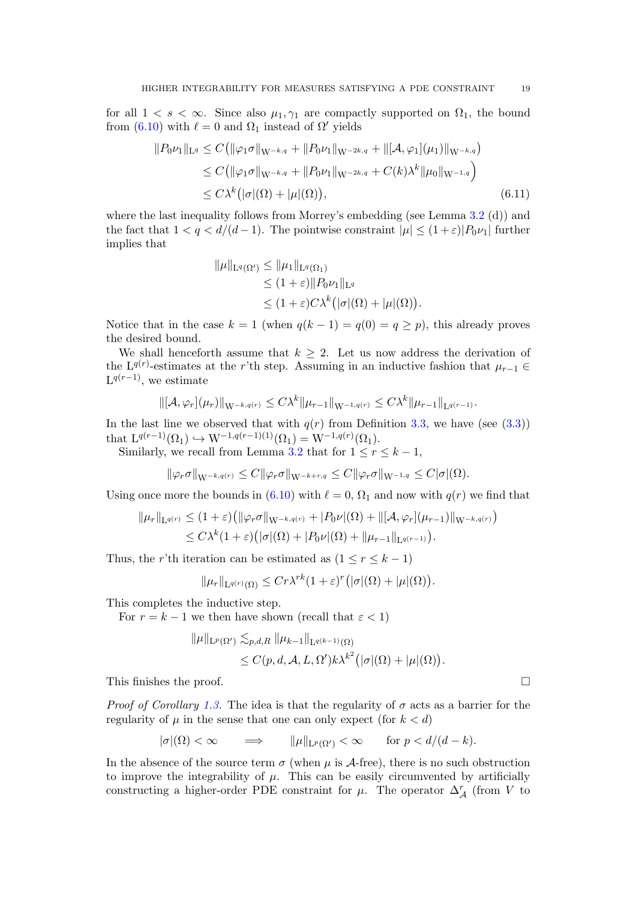for all  $1 < s < \infty$ . Since also  $\mu_1, \gamma_1$  are compactly supported on  $\Omega_1$ , the bound from [\(6.10\)](#page-17-0) with  $\ell = 0$  and  $\Omega_1$  instead of  $\Omega'$  yields

$$
||P_0\nu_1||_{\mathbf{L}^q} \leq C(||\varphi_1\sigma||_{\mathbf{W}^{-k,q}} + ||P_0\nu_1||_{\mathbf{W}^{-2k,q}} + ||[\mathcal{A},\varphi_1](\mu_1)||_{\mathbf{W}^{-k,q}})
$$
  
\n
$$
\leq C(||\varphi_1\sigma||_{\mathbf{W}^{-k,q}} + ||P_0\nu_1||_{\mathbf{W}^{-2k,q}} + C(k)\lambda^k ||\mu_0||_{\mathbf{W}^{-1,q}})
$$
  
\n
$$
\leq C\lambda^k(|\sigma|(\Omega) + |\mu|(\Omega)),
$$
\n(6.11)

where the last inequality follows from Morrey's embedding (see Lemma [3.2](#page-8-2) (d)) and the fact that  $1 < q < d/(d-1)$ . The pointwise constraint  $|\mu| < (1+\varepsilon)|P_0\nu_1|$  further implies that

$$
\|\mu\|_{\mathbf{L}^{q}(\Omega')}\leq \|\mu_{1}\|_{\mathbf{L}^{q}(\Omega_{1})}
$$
  
\n
$$
\leq (1+\varepsilon)\|P_{0}\nu_{1}\|_{\mathbf{L}^{q}}
$$
  
\n
$$
\leq (1+\varepsilon)C\lambda^{k}\big(|\sigma|(\Omega)+|\mu|(\Omega)\big)
$$

.

Notice that in the case  $k = 1$  (when  $q(k - 1) = q(0) = q \ge p$ ), this already proves the desired bound.

We shall henceforth assume that  $k \geq 2$ . Let us now address the derivation of the L<sup>q(r)</sup>-estimates at the r'th step. Assuming in an inductive fashion that  $\mu_{r-1} \in$  $L^{q(r-1)}$ , we estimate

$$
\|[\mathcal{A},\varphi_r](\mu_r)\|_{\mathcal{W}^{-k,q(r)}} \leq C\lambda^k \|\mu_{r-1}\|_{\mathcal{W}^{-1,q(r)}} \leq C\lambda^k \|\mu_{r-1}\|_{\mathcal{L}^{q(r-1)}}.
$$

In the last line we observed that with  $q(r)$  from Definition [3.3,](#page-8-4) we have (see [\(3.3\)](#page-9-0)) that  $L^{q(r-1)}(\Omega_1) \hookrightarrow W^{-1,q(r-1)(1)}(\Omega_1) = W^{-1,q(r)}(\Omega_1).$ 

Similarly, we recall from Lemma [3.2](#page-8-2) that for  $1 \le r \le k - 1$ ,

$$
\|\varphi_r \sigma\|_{\mathcal{W}^{-k,q(r)}} \leq C \|\varphi_r \sigma\|_{\mathcal{W}^{-k+r,q}} \leq C \|\varphi_r \sigma\|_{\mathcal{W}^{-1,q}} \leq C |\sigma|(\Omega).
$$

Using once more the bounds in [\(6.10\)](#page-17-0) with  $\ell = 0$ ,  $\Omega_1$  and now with  $q(r)$  we find that

$$
\|\mu_r\|_{\mathcal{L}^{q(r)}} \le (1+\varepsilon) \big( \|\varphi_r \sigma\|_{\mathcal{W}^{-k,q(r)}} + |P_0 \nu|(\Omega) + \|[\mathcal{A}, \varphi_r](\mu_{r-1})\|_{\mathcal{W}^{-k,q(r)}} \big) \le C\lambda^k (1+\varepsilon) \big( |\sigma|(\Omega) + |P_0 \nu|(\Omega) + \|\mu_{r-1}\|_{\mathcal{L}^{q(r-1)}} \big).
$$

Thus, the r'th iteration can be estimated as  $(1 \le r \le k - 1)$ 

$$
\|\mu_r\|_{\mathbf{L}^{q(r)}(\Omega)} \leq Cr\lambda^{rk}(1+\varepsilon)^r\big(|\sigma|(\Omega)+|\mu|(\Omega)\big).
$$

This completes the inductive step.

For  $r = k - 1$  we then have shown (recall that  $\varepsilon < 1$ )

$$
\|\mu\|_{\mathrm{L}^p(\Omega')} \lesssim_{p,d,R} \|\mu_{k-1}\|_{\mathrm{L}^{q(k-1)}(\Omega)} \leq C(p,d,\mathcal{A},L,\Omega') k^{\lambda^k} \big(|\sigma|(\Omega)+|\mu|(\Omega)\big).
$$

This finishes the proof.  $\Box$ 

*Proof of Corollary [1.3.](#page-2-2)* The idea is that the regularity of  $\sigma$  acts as a barrier for the regularity of  $\mu$  in the sense that one can only expect (for  $k < d$ )

$$
|\sigma|(\Omega)<\infty\qquad\Longrightarrow\qquad \|\mu\|_{\mathrm{L}^p(\Omega')}<\infty\qquad\text{for }p
$$

In the absence of the source term  $\sigma$  (when  $\mu$  is A-free), there is no such obstruction to improve the integrability of  $\mu$ . This can be easily circumvented by artificially constructing a higher-order PDE constraint for  $\mu$ . The operator  $\Delta_{\mathcal{A}}^r$  (from V to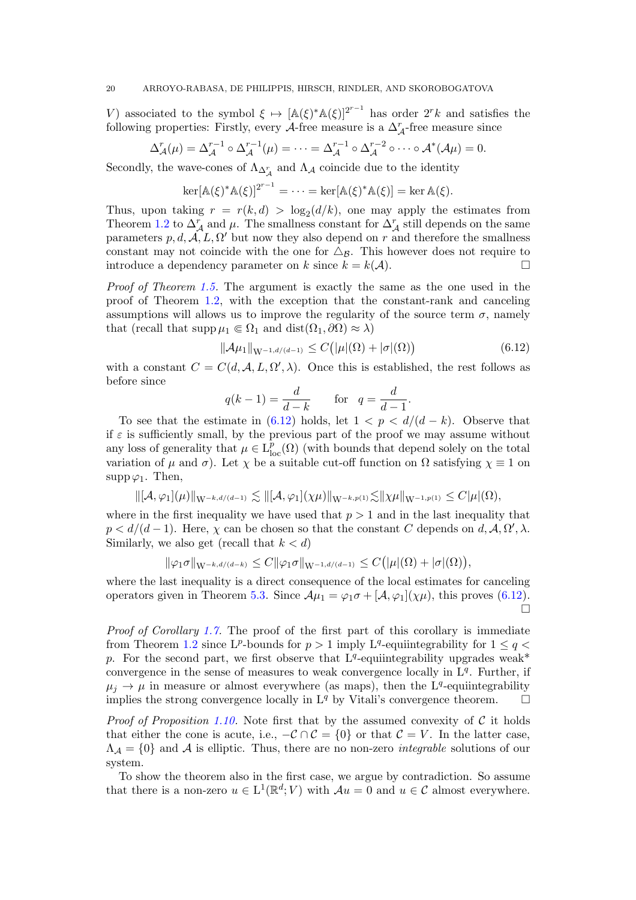V) associated to the symbol  $\xi \mapsto [\mathbb{A}(\xi)^*\mathbb{A}(\xi)]^{2^{r-1}}$  has order  $2^rk$  and satisfies the following properties: Firstly, every  $\mathcal{A}$ -free measure is a  $\Delta_{\mathcal{A}}^r$ -free measure since

$$
\Delta_{\mathcal{A}}^r(\mu) = \Delta_{\mathcal{A}}^{r-1} \circ \Delta_{\mathcal{A}}^{r-1}(\mu) = \cdots = \Delta_{\mathcal{A}}^{r-1} \circ \Delta_{\mathcal{A}}^{r-2} \circ \cdots \circ \mathcal{A}^*(\mathcal{A}\mu) = 0.
$$

Secondly, the wave-cones of  $\Lambda_{\Delta_{\mathcal{A}}^{r}}$  and  $\Lambda_{\mathcal{A}}$  coincide due to the identity

$$
\ker[\mathbb{A}(\xi)^*\mathbb{A}(\xi)]^{2^{r-1}} = \cdots = \ker[\mathbb{A}(\xi)^*\mathbb{A}(\xi)] = \ker \mathbb{A}(\xi).
$$

Thus, upon taking  $r = r(k, d) > log_2(d/k)$ , one may apply the estimates from Theorem [1.2](#page-1-0) to  $\Delta_A^r$  and  $\mu$ . The smallness constant for  $\Delta_A^r$  still depends on the same parameters  $p, d, A, L, \Omega'$  but now they also depend on r and therefore the smallness constant may not coincide with the one for  $\Delta_{\mathcal{B}}$ . This however does not require to introduce a dependency parameter on k since  $k = k(\mathcal{A})$ . introduce a dependency parameter on k since  $k = k(\mathcal{A})$ .

Proof of Theorem [1.5.](#page-2-0) The argument is exactly the same as the one used in the proof of Theorem [1.2,](#page-1-0) with the exception that the constant-rank and canceling assumptions will allows us to improve the regularity of the source term  $\sigma$ , namely that (recall that supp  $\mu_1 \in \Omega_1$  and  $dist(\Omega_1, \partial \Omega) \approx \lambda$ )

<span id="page-19-0"></span>
$$
\|\mathcal{A}\mu_1\|_{\mathcal{W}^{-1,d/(d-1)}} \le C(|\mu|(\Omega) + |\sigma|(\Omega)) \tag{6.12}
$$

with a constant  $C = C(d, \mathcal{A}, L, \Omega', \lambda)$ . Once this is established, the rest follows as before since

$$
q(k-1) = \frac{d}{d-k} \quad \text{for} \quad q = \frac{d}{d-1}.
$$

To see that the estimate in [\(6.12\)](#page-19-0) holds, let  $1 < p < d/(d - k)$ . Observe that if  $\varepsilon$  is sufficiently small, by the previous part of the proof we may assume without any loss of generality that  $\mu \in L^p_{loc}(\Omega)$  (with bounds that depend solely on the total variation of  $\mu$  and  $\sigma$ ). Let  $\chi$  be a suitable cut-off function on  $\Omega$  satisfying  $\chi \equiv 1$  on supp $\varphi_1$ . Then,

$$
\|[\mathcal{A},\varphi_1](\mu)\|_{\mathcal{W}^{-k,d/(d-1)}} \lesssim \|[\mathcal{A},\varphi_1](\chi\mu)\|_{\mathcal{W}^{-k,p(1)}} \lesssim \|\chi\mu\|_{\mathcal{W}^{-1,p(1)}} \leq C|\mu|(\Omega),
$$

where in the first inequality we have used that  $p > 1$  and in the last inequality that  $p < d/(d-1)$ . Here,  $\chi$  can be chosen so that the constant C depends on  $d, \mathcal{A}, \Omega', \lambda$ . Similarly, we also get (recall that  $k < d$ )

$$
\|\varphi_1\sigma\|_{\mathrm{W}^{-k,d/(d-k)}}\leq C\|\varphi_1\sigma\|_{\mathrm{W}^{-1,d/(d-1)}}\leq C\big(\big|\mu\big|(\Omega)+|\sigma\big|(\Omega)\big),
$$

where the last inequality is a direct consequence of the local estimates for canceling operators given in Theorem [5.3.](#page-14-2) Since  $A\mu_1 = \varphi_1 \sigma + [A, \varphi_1](\chi \mu)$ , this proves [\(6.12\)](#page-19-0).  $\Box$ 

Proof of Corollary [1.7.](#page-3-0) The proof of the first part of this corollary is immediate from Theorem [1.2](#page-1-0) since L<sup>p</sup>-bounds for  $p > 1$  imply L<sup>q</sup>-equiintegrability for  $1 \leq q <$ p. For the second part, we first observe that  $L^q$ -equiintegrability upgrades weak<sup>\*</sup> convergence in the sense of measures to weak convergence locally in  $L<sup>q</sup>$ . Further, if  $\mu_j \to \mu$  in measure or almost everywhere (as maps), then the L<sup>q</sup>-equiintegrability implies the strong convergence locally in  $L^q$  by Vitali's convergence theorem.  $\Box$ 

*Proof of Proposition [1.10.](#page-4-0)* Note first that by the assumed convexity of C it holds that either the cone is acute, i.e.,  $-\mathcal{C} \cap \mathcal{C} = \{0\}$  or that  $\mathcal{C} = V$ . In the latter case,  $\Lambda_{\mathcal{A}} = \{0\}$  and  $\mathcal A$  is elliptic. Thus, there are no non-zero *integrable* solutions of our system.

To show the theorem also in the first case, we argue by contradiction. So assume that there is a non-zero  $u \in L^1(\mathbb{R}^d; V)$  with  $\mathcal{A}u = 0$  and  $u \in \mathcal{C}$  almost everywhere.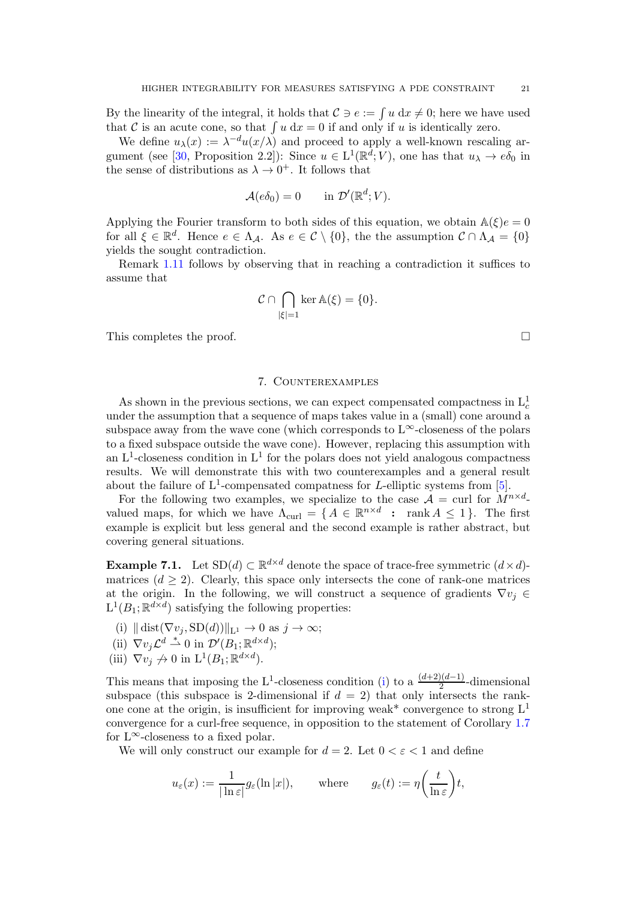By the linearity of the integral, it holds that  $C \ni e := \int u \, dx \neq 0$ ; here we have used that C is an acute cone, so that  $\int u \, dx = 0$  if and only if u is identically zero.

We define  $u_{\lambda}(x) := \lambda^{-d} u(x/\lambda)$  and proceed to apply a well-known rescaling ar-gument (see [\[30,](#page-24-6) Proposition 2.2]): Since  $u \in L^1(\mathbb{R}^d; V)$ , one has that  $u_\lambda \to e\delta_0$  in the sense of distributions as  $\lambda \to 0^+$ . It follows that

$$
\mathcal{A}(e\delta_0)=0\qquad\text{in }\mathcal{D}'(\mathbb{R}^d;V).
$$

Applying the Fourier transform to both sides of this equation, we obtain  $\mathbb{A}(\xi)e = 0$ for all  $\xi \in \mathbb{R}^d$ . Hence  $e \in \Lambda_{\mathcal{A}}$ . As  $e \in \mathcal{C} \setminus \{0\}$ , the the assumption  $\mathcal{C} \cap \Lambda_{\mathcal{A}} = \{0\}$ yields the sought contradiction.

Remark [1.11](#page-4-1) follows by observing that in reaching a contradiction it suffices to assume that

$$
\mathcal{C}\cap\bigcap_{|\xi|=1}\ker\mathbb{A}(\xi)=\{0\}.
$$

<span id="page-20-0"></span>This completes the proof.  $\Box$ 

# 7. Counterexamples

As shown in the previous sections, we can expect compensated compactness in  $L_c^1$ under the assumption that a sequence of maps takes value in a (small) cone around a subspace away from the wave cone (which corresponds to  $L^{\infty}$ -closeness of the polars to a fixed subspace outside the wave cone). However, replacing this assumption with an  $L^1$ -closeness condition in  $L^1$  for the polars does not yield analogous compactness results. We will demonstrate this with two counterexamples and a general result about the failure of  $L^1$ -compensated compatness for L-elliptic systems from [\[5\]](#page-23-13).

For the following two examples, we specialize to the case  $\mathcal{A} = \text{curl}$  for  $M^{n \times d}$ . valued maps, for which we have  $\Lambda_{\text{curl}} = \{ A \in \mathbb{R}^{n \times d} : \text{rank } A \leq 1 \}.$  The first example is explicit but less general and the second example is rather abstract, but covering general situations.

**Example 7.1.** Let  $SD(d) \subset \mathbb{R}^{d \times d}$  denote the space of trace-free symmetric  $(d \times d)$ matrices  $(d \geq 2)$ . Clearly, this space only intersects the cone of rank-one matrices at the origin. In the following, we will construct a sequence of gradients  $\nabla v_j \in$  $L^1(B_1; \mathbb{R}^{d \times d})$  satisfying the following properties:

<span id="page-20-1"></span>(i)  $\|\text{dist}(\nabla v_i, SD(d))\|_{L^1} \to 0 \text{ as } j \to \infty;$ 

(ii) 
$$
\nabla v_j \mathcal{L}^d \stackrel{*}{\rightharpoonup} 0
$$
 in  $\mathcal{D}'(B_1; \mathbb{R}^{d \times d})$ ;

(iii)  $\nabla v_j \nrightarrow 0$  in  $\mathcal{L}^1(B_1; \mathbb{R}^{d \times d})$ .

This means that imposing the L<sup>1</sup>-closeness condition [\(i\)](#page-20-1) to a  $\frac{(d+2)(d-1)}{2}$ -dimensional subspace (this subspace is 2-dimensional if  $d = 2$ ) that only intersects the rankone cone at the origin, is insufficient for improving weak\* convergence to strong  $L<sup>1</sup>$ convergence for a curl-free sequence, in opposition to the statement of Corollary [1.7](#page-3-0) for  $L^{\infty}$ -closeness to a fixed polar.

We will only construct our example for  $d = 2$ . Let  $0 < \varepsilon < 1$  and define

$$
u_\varepsilon(x):=\frac{1}{|\ln\varepsilon|}g_\varepsilon(\ln|x|),\qquad\text{where}\qquad g_\varepsilon(t):=\eta\bigg(\frac{t}{\ln\varepsilon}\bigg)t,
$$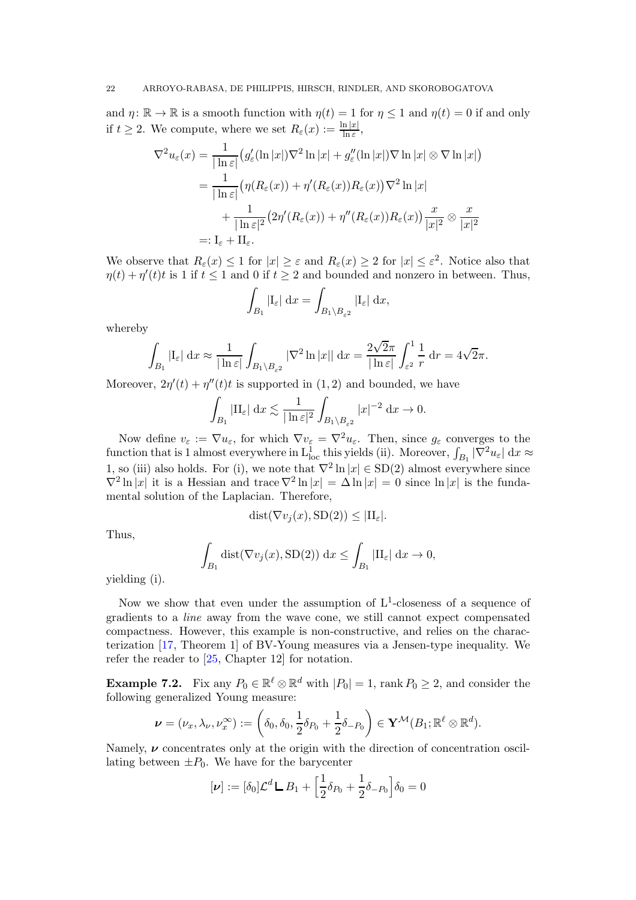and  $\eta: \mathbb{R} \to \mathbb{R}$  is a smooth function with  $\eta(t) = 1$  for  $\eta \leq 1$  and  $\eta(t) = 0$  if and only if  $t \geq 2$ . We compute, where we set  $R_{\varepsilon}(x) := \frac{\ln |x|}{\ln \varepsilon}$ ,

$$
\nabla^2 u_{\varepsilon}(x) = \frac{1}{|\ln \varepsilon|} \left( g_{\varepsilon}'(\ln |x|) \nabla^2 \ln |x| + g_{\varepsilon}''(\ln |x|) \nabla \ln |x| \otimes \nabla \ln |x| \right)
$$
  
= 
$$
\frac{1}{|\ln \varepsilon|} \left( \eta(R_{\varepsilon}(x)) + \eta'(R_{\varepsilon}(x)) R_{\varepsilon}(x) \right) \nabla^2 \ln |x|
$$
  
+ 
$$
\frac{1}{|\ln \varepsilon|^2} \left( 2\eta'(R_{\varepsilon}(x)) + \eta''(R_{\varepsilon}(x)) R_{\varepsilon}(x) \right) \frac{x}{|x|^2} \otimes \frac{x}{|x|^2}
$$
  
=: I\_{\varepsilon} + II\_{\varepsilon}.

We observe that  $R_{\varepsilon}(x) \leq 1$  for  $|x| \geq \varepsilon$  and  $R_{\varepsilon}(x) \geq 2$  for  $|x| \leq \varepsilon^2$ . Notice also that  $\eta(t) + \eta'(t)t$  is 1 if  $t \le 1$  and 0 if  $t \ge 2$  and bounded and nonzero in between. Thus,

$$
\int_{B_1} |\mathrm{I}_{\varepsilon}| \, \mathrm{d}x = \int_{B_1 \setminus B_{\varepsilon^2}} |\mathrm{I}_{\varepsilon}| \, \mathrm{d}x,
$$

whereby

$$
\int_{B_1} |\mathrm{I}_{\varepsilon}| \, \mathrm{d}x \approx \frac{1}{|\ln \varepsilon|} \int_{B_1 \setminus B_{\varepsilon^2}} |\nabla^2 \ln |x| \, \mathrm{d}x = \frac{2\sqrt{2}\pi}{|\ln \varepsilon|} \int_{\varepsilon^2} \frac{1}{r} \, \mathrm{d}r = 4\sqrt{2}\pi.
$$

Moreover,  $2\eta'(t) + \eta''(t)t$  is supported in  $(1, 2)$  and bounded, we have

$$
\int_{B_1} |\Pi_{\varepsilon}| \, \mathrm{d}x \lesssim \frac{1}{|\ln \varepsilon|^2} \int_{B_1 \setminus B_{\varepsilon^2}} |x|^{-2} \, \mathrm{d}x \to 0.
$$

Now define  $v_{\varepsilon} := \nabla u_{\varepsilon}$ , for which  $\nabla v_{\varepsilon} = \nabla^2 u_{\varepsilon}$ . Then, since  $g_{\varepsilon}$  converges to the function that is 1 almost everywhere in  $L^1_{loc}$  this yields (ii). Moreover,  $\int_{B_1} |\nabla^2 u_\varepsilon| dx \approx$ 1, so (iii) also holds. For (i), we note that  $\nabla^2 \ln |x| \in SD(2)$  almost everywhere since  $\nabla^2 \ln |x|$  it is a Hessian and trace  $\nabla^2 \ln |x| = \Delta \ln |x| = 0$  since  $\ln |x|$  is the fundamental solution of the Laplacian. Therefore,

$$
dist(\nabla v_j(x), SD(2)) \leq |\Pi_{\varepsilon}|.
$$

Thus,

$$
\int_{B_1} \text{dist}(\nabla v_j(x), \text{SD}(2)) \, dx \le \int_{B_1} |\text{II}_{\varepsilon}| \, dx \to 0,
$$

yielding (i).

Now we show that even under the assumption of  $L^1$ -closeness of a sequence of gradients to a line away from the wave cone, we still cannot expect compensated compactness. However, this example is non-constructive, and relies on the characterization [\[17,](#page-24-14) Theorem 1] of BV-Young measures via a Jensen-type inequality. We refer the reader to [\[25,](#page-24-5) Chapter 12] for notation.

**Example 7.2.** Fix any  $P_0 \in \mathbb{R}^{\ell} \otimes \mathbb{R}^d$  with  $|P_0| = 1$ , rank  $P_0 \ge 2$ , and consider the following generalized Young measure:

$$
\boldsymbol{\nu}=(\nu_x,\lambda_{\nu},\nu_x^{\infty}):=\left(\delta_0,\delta_0,\frac{1}{2}\delta_{P_0}+\frac{1}{2}\delta_{-P_0}\right)\in \mathbf{Y}^{\mathcal{M}}(B_1;\mathbb{R}^{\ell}\otimes\mathbb{R}^d).
$$

Namely,  $\nu$  concentrates only at the origin with the direction of concentration oscillating between  $\pm P_0$ . We have for the barycenter

$$
[\nu] := [\delta_0] \mathcal{L}^d \mathsf{L} B_1 + \left[\frac{1}{2}\delta_{P_0} + \frac{1}{2}\delta_{-P_0}\right] \delta_0 = 0
$$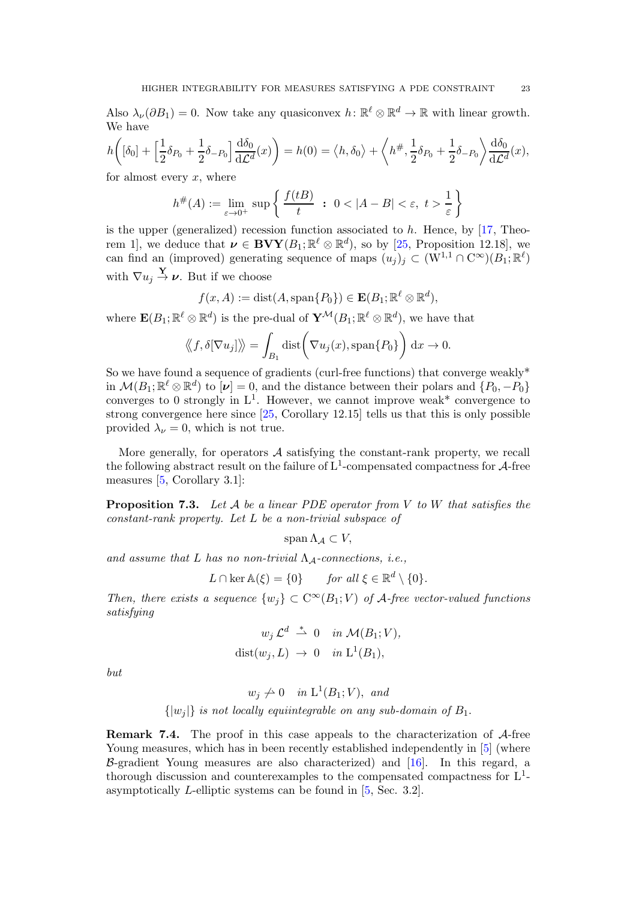Also  $\lambda_{\nu}(\partial B_1) = 0$ . Now take any quasiconvex  $h: \mathbb{R}^{\ell} \otimes \mathbb{R}^d \to \mathbb{R}$  with linear growth. We have

$$
h\left([\delta_0] + \left[\frac{1}{2}\delta_{P_0} + \frac{1}{2}\delta_{-P_0}\right] \frac{\mathrm{d}\delta_0}{\mathrm{d}\mathcal{L}^d}(x)\right) = h(0) = \langle h, \delta_0 \rangle + \left\langle h^\#, \frac{1}{2}\delta_{P_0} + \frac{1}{2}\delta_{-P_0}\right\rangle \frac{\mathrm{d}\delta_0}{\mathrm{d}\mathcal{L}^d}(x),
$$

for almost every  $x$ , where

$$
h^{\#}(A) := \lim_{\varepsilon \to 0^+} \sup \left\{ \frac{f(tB)}{t} \ : \ 0 < |A - B| < \varepsilon, \ t > \frac{1}{\varepsilon} \right\}
$$

is the upper (generalized) recession function associated to  $h$ . Hence, by [\[17,](#page-24-14) Theorem 1], we deduce that  $\boldsymbol{\nu} \in \mathbf{BVY}(B_1;\mathbb{R}^{\ell} \otimes \mathbb{R}^d)$ , so by [\[25,](#page-24-5) Proposition 12.18], we can find an (improved) generating sequence of maps  $(u_j)_j \subset (\mathcal{W}^{1,1} \cap \mathcal{C}^{\infty})(B_1;\mathbb{R}^{\ell})$ with  $\nabla u_j \overset{\mathbf{Y}}{\rightarrow} \boldsymbol{\nu}$ . But if we choose

$$
f(x, A) := \text{dist}(A, \text{span}\{P_0\}) \in \mathbf{E}(B_1; \mathbb{R}^{\ell} \otimes \mathbb{R}^d),
$$

where  $\mathbf{E}(B_1; \mathbb{R}^{\ell} \otimes \mathbb{R}^d)$  is the pre-dual of  $\mathbf{Y}^{\mathcal{M}}(B_1; \mathbb{R}^{\ell} \otimes \mathbb{R}^d)$ , we have that

$$
\langle f, \delta[\nabla u_j] \rangle = \int_{B_1} \text{dist} \bigg( \nabla u_j(x), \text{span}\{P_0\} \bigg) dx \to 0.
$$

So we have found a sequence of gradients (curl-free functions) that converge weakly\* in  $\mathcal{M}(B_1;\mathbb{R}^{\ell} \otimes \mathbb{R}^d)$  to  $[\nu] = 0$ , and the distance between their polars and  $\{P_0, -P_0\}$ converges to 0 strongly in  $L^1$ . However, we cannot improve weak\* convergence to strong convergence here since [\[25,](#page-24-5) Corollary 12.15] tells us that this is only possible provided  $\lambda_{\nu} = 0$ , which is not true.

More generally, for operators  $A$  satisfying the constant-rank property, we recall the following abstract result on the failure of  $L^1$ -compensated compactness for  $A$ -free measures [\[5,](#page-23-13) Corollary 3.1]:

**Proposition 7.3.** Let  $A$  be a linear PDE operator from V to W that satisfies the constant-rank property. Let L be a non-trivial subspace of

span  $\Lambda_A \subset V$ ,

and assume that L has no non-trivial  $\Lambda_A$ -connections, i.e.,

$$
L \cap \ker \mathbb{A}(\xi) = \{0\} \qquad \text{for all } \xi \in \mathbb{R}^d \setminus \{0\}.
$$

Then, there exists a sequence  $\{w_i\} \subset \mathbb{C}^{\infty}(B_1; V)$  of A-free vector-valued functions satisfying

$$
w_j \mathcal{L}^d \stackrel{*}{\rightharpoonup} 0 \quad in \mathcal{M}(B_1; V),
$$
  

$$
dist(w_j, L) \rightharpoonup 0 \quad in \ L^1(B_1),
$$

but

$$
w_j \nightharpoonup 0 \quad in \ L^1(B_1; V), \ and
$$
  
 
$$
\{|w_j|\} \ is \ not \ locally \ equiintegrable \ on \ any \ sub-domain \ of \ B_1.
$$

**Remark 7.4.** The proof in this case appeals to the characterization of  $A$ -free Young measures, which has in been recently established independently in [\[5\]](#page-23-13) (where  $\beta$ -gradient Young measures are also characterized) and [\[16\]](#page-24-15). In this regard, a thorough discussion and counterexamples to the compensated compactness for  $L^1$ asymptotically L-elliptic systems can be found in [\[5,](#page-23-13) Sec. 3.2].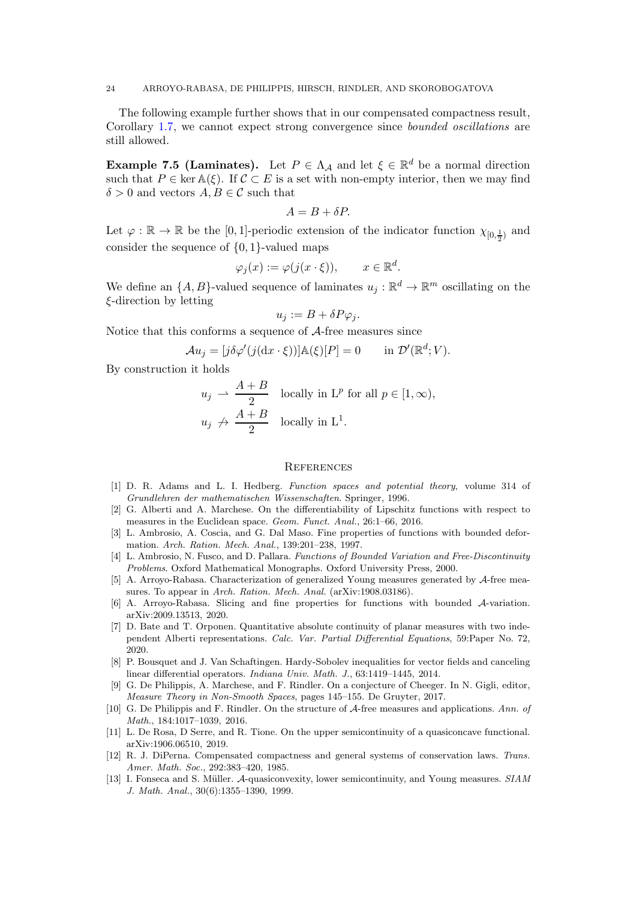The following example further shows that in our compensated compactness result, Corollary [1.7,](#page-3-0) we cannot expect strong convergence since bounded oscillations are still allowed.

<span id="page-23-0"></span>**Example 7.5 (Laminates).** Let  $P \in \Lambda_{\mathcal{A}}$  and let  $\xi \in \mathbb{R}^d$  be a normal direction such that  $P \in \text{ker } A(\xi)$ . If  $C \subset E$  is a set with non-empty interior, then we may find  $\delta > 0$  and vectors  $A, B \in \mathcal{C}$  such that

$$
A = B + \delta P.
$$

Let  $\varphi : \mathbb{R} \to \mathbb{R}$  be the [0,1]-periodic extension of the indicator function  $\chi_{[0, \frac{1}{2})}$  and consider the sequence of  $\{0, 1\}$ -valued maps

$$
\varphi_j(x) := \varphi(j(x \cdot \xi)), \qquad x \in \mathbb{R}^d.
$$

We define an  $\{A, B\}$ -valued sequence of laminates  $u_j : \mathbb{R}^d \to \mathbb{R}^m$  oscillating on the ξ-direction by letting

$$
u_j := B + \delta P \varphi_j.
$$

Notice that this conforms a sequence of A-free measures since

$$
\mathcal{A}u_j = [j\delta\varphi'(j(\mathrm{d}x\cdot\xi))]A(\xi)[P] = 0 \quad \text{in } \mathcal{D}'(\mathbb{R}^d;V).
$$

By construction it holds

$$
u_j \rightharpoonup \frac{A+B}{2} \quad \text{locally in } \mathcal{L}^p \text{ for all } p \in [1, \infty),
$$
  

$$
u_j \rightharpoonup \frac{A+B}{2} \quad \text{locally in } \mathcal{L}^1.
$$

#### **REFERENCES**

- <span id="page-23-10"></span>[1] D. R. Adams and L. I. Hedberg. Function spaces and potential theory, volume 314 of Grundlehren der mathematischen Wissenschaften. Springer, 1996.
- <span id="page-23-5"></span>[2] G. Alberti and A. Marchese. On the differentiability of Lipschitz functions with respect to measures in the Euclidean space. Geom. Funct. Anal., 26:1–66, 2016.
- <span id="page-23-9"></span>[3] L. Ambrosio, A. Coscia, and G. Dal Maso. Fine properties of functions with bounded deformation. Arch. Ration. Mech. Anal., 139:201–238, 1997.
- <span id="page-23-8"></span>[4] L. Ambrosio, N. Fusco, and D. Pallara. Functions of Bounded Variation and Free-Discontinuity Problems. Oxford Mathematical Monographs. Oxford University Press, 2000.
- <span id="page-23-13"></span>[5] A. Arroyo-Rabasa. Characterization of generalized Young measures generated by A-free measures. To appear in Arch. Ration. Mech. Anal. (arXiv:1908.03186).
- <span id="page-23-7"></span>[6] A. Arroyo-Rabasa. Slicing and fine properties for functions with bounded A-variation. arXiv:2009.13513, 2020.
- <span id="page-23-3"></span>[7] D. Bate and T. Orponen. Quantitative absolute continuity of planar measures with two independent Alberti representations. Calc. Var. Partial Differential Equations, 59:Paper No. 72, 2020.
- <span id="page-23-11"></span>[8] P. Bousquet and J. Van Schaftingen. Hardy-Sobolev inequalities for vector fields and canceling linear differential operators. Indiana Univ. Math. J., 63:1419–1445, 2014.
- <span id="page-23-6"></span>[9] G. De Philippis, A. Marchese, and F. Rindler. On a conjecture of Cheeger. In N. Gigli, editor, Measure Theory in Non-Smooth Spaces, pages 145–155. De Gruyter, 2017.
- <span id="page-23-1"></span>[10] G. De Philippis and F. Rindler. On the structure of A-free measures and applications. Ann. of Math., 184:1017–1039, 2016.
- <span id="page-23-4"></span>[11] L. De Rosa, D Serre, and R. Tione. On the upper semicontinuity of a quasiconcave functional. arXiv:1906.06510, 2019.
- <span id="page-23-2"></span>[12] R. J. DiPerna. Compensated compactness and general systems of conservation laws. Trans. Amer. Math. Soc., 292:383–420, 1985.
- <span id="page-23-12"></span>[13] I. Fonseca and S. Müller. A-quasiconvexity, lower semicontinuity, and Young measures. SIAM J. Math. Anal., 30(6):1355–1390, 1999.